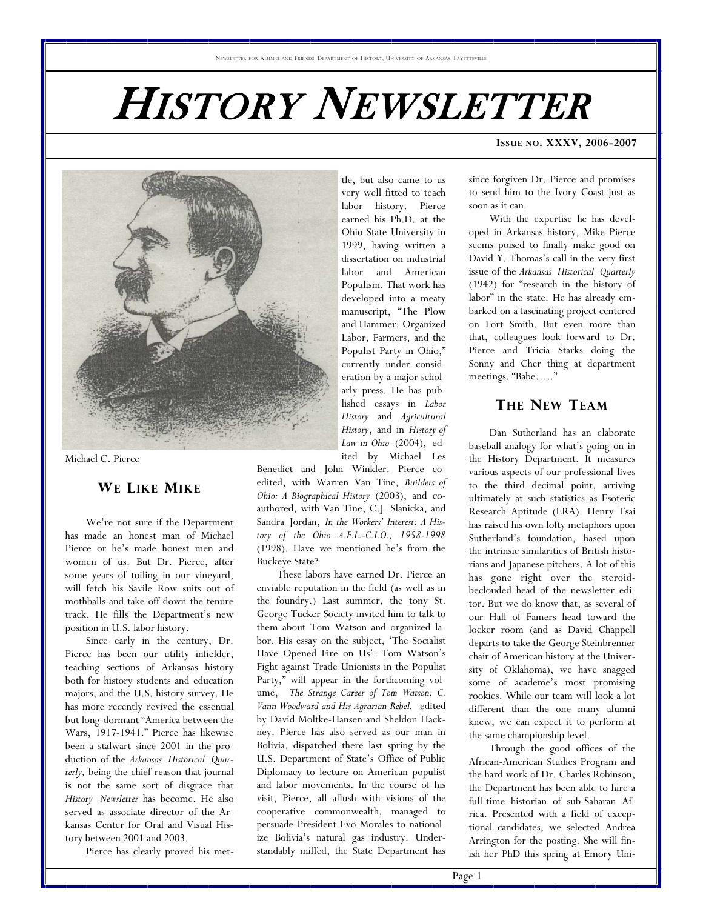# HISTORY NEWSLETTER



Michael C. Pierce

#### **WE LIKE MIKE**

 We're not sure if the Department has made an honest man of Michael Pierce or he's made honest men and women of us. But Dr. Pierce, after some years of toiling in our vineyard, will fetch his Savile Row suits out of mothballs and take off down the tenure track. He fills the Department's new position in U.S. labor history.

 Since early in the century, Dr. Pierce has been our utility infielder, teaching sections of Arkansas history both for history students and education majors, and the U.S. history survey. He has more recently revived the essential but long-dormant "America between the Wars, 1917-1941." Pierce has likewise been a stalwart since 2001 in the production of the *Arkansas Historical Quarterly,* being the chief reason that journal is not the same sort of disgrace that *History Newsletter* has become. He also served as associate director of the Arkansas Center for Oral and Visual History between 2001 and 2003.

Pierce has clearly proved his met-

tle, but also came to us very well fitted to teach labor history. Pierce earned his Ph.D. at the Ohio State University in 1999, having written a dissertation on industrial labor and American Populism. That work has developed into a meaty manuscript, "The Plow and Hammer: Organized Labor, Farmers, and the Populist Party in Ohio," currently under consideration by a major scholarly press. He has published essays in *Labor History* and *Agricultural History*, and in *History of Law in Ohio* (2004), edited by Michael Les

Benedict and John Winkler. Pierce coedited, with Warren Van Tine, *Builders of Ohio: A Biographical History* (2003), and coauthored, with Van Tine, C.J. Slanicka, and Sandra Jordan, *In the Workers' Interest: A History of the Ohio A.F.L.-C.I.O., 1958-1998* (1998). Have we mentioned he's from the Buckeye State?

 These labors have earned Dr. Pierce an enviable reputation in the field (as well as in the foundry.) Last summer, the tony St. George Tucker Society invited him to talk to them about Tom Watson and organized labor. His essay on the subject, 'The Socialist Have Opened Fire on Us': Tom Watson's Fight against Trade Unionists in the Populist Party," will appear in the forthcoming volume, *The Strange Career of Tom Watson: C. Vann Woodward and His Agrarian Rebel,* edited by David Moltke-Hansen and Sheldon Hackney. Pierce has also served as our man in Bolivia, dispatched there last spring by the U.S. Department of State's Office of Public Diplomacy to lecture on American populist and labor movements. In the course of his visit, Pierce, all aflush with visions of the cooperative commonwealth, managed to persuade President Evo Morales to nationalize Bolivia's natural gas industry. Understandably miffed, the State Department has

#### **ISSUE NO. XXXV, 2006-2007**

since forgiven Dr. Pierce and promises to send him to the Ivory Coast just as soon as it can.

 With the expertise he has developed in Arkansas history, Mike Pierce seems poised to finally make good on David Y. Thomas's call in the very first issue of the *Arkansas Historical Quarterly* (1942) for "research in the history of labor" in the state. He has already embarked on a fascinating project centered on Fort Smith. But even more than that, colleagues look forward to Dr. Pierce and Tricia Starks doing the Sonny and Cher thing at department meetings. "Babe….."

# **THE NEW TEAM**

 Dan Sutherland has an elaborate baseball analogy for what's going on in the History Department. It measures various aspects of our professional lives to the third decimal point, arriving ultimately at such statistics as Esoteric Research Aptitude (ERA). Henry Tsai has raised his own lofty metaphors upon Sutherland's foundation, based upon the intrinsic similarities of British historians and Japanese pitchers. A lot of this has gone right over the steroidbeclouded head of the newsletter editor. But we do know that, as several of our Hall of Famers head toward the locker room (and as David Chappell departs to take the George Steinbrenner chair of American history at the University of Oklahoma), we have snagged some of academe's most promising rookies. While our team will look a lot different than the one many alumni knew, we can expect it to perform at the same championship level.

 Through the good offices of the African-American Studies Program and the hard work of Dr. Charles Robinson, the Department has been able to hire a full-time historian of sub-Saharan Africa. Presented with a field of exceptional candidates, we selected Andrea Arrington for the posting. She will finish her PhD this spring at Emory Uni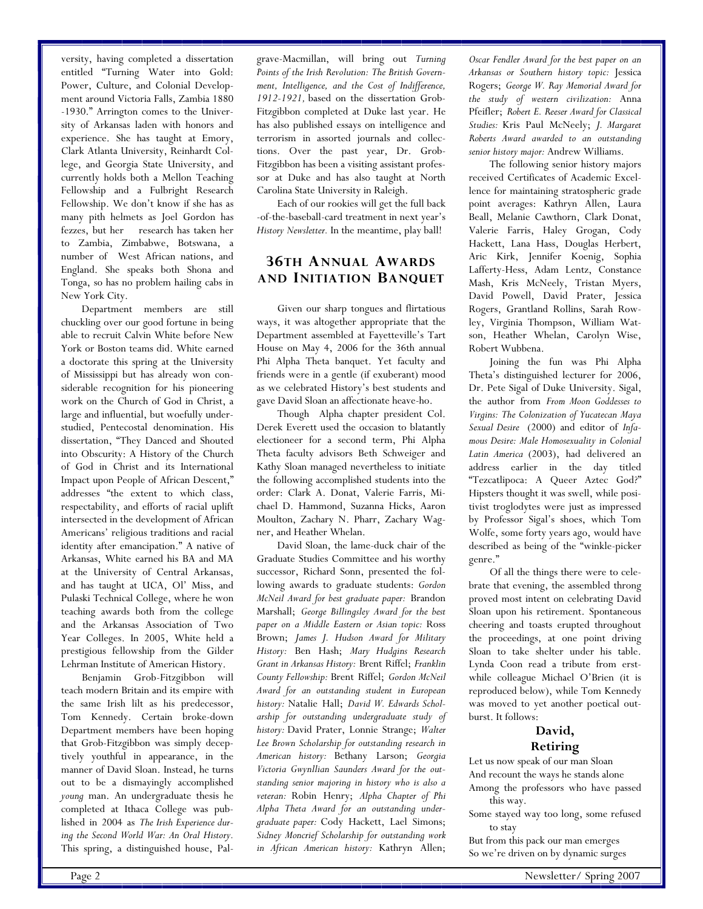versity, having completed a dissertation entitled "Turning Water into Gold: Power, Culture, and Colonial Development around Victoria Falls, Zambia 1880 -1930." Arrington comes to the University of Arkansas laden with honors and experience. She has taught at Emory, Clark Atlanta University, Reinhardt College, and Georgia State University, and currently holds both a Mellon Teaching Fellowship and a Fulbright Research Fellowship. We don't know if she has as many pith helmets as Joel Gordon has fezzes, but her research has taken her to Zambia, Zimbabwe, Botswana, a number of West African nations, and England. She speaks both Shona and Tonga, so has no problem hailing cabs in New York City.

 Department members are still chuckling over our good fortune in being able to recruit Calvin White before New York or Boston teams did. White earned a doctorate this spring at the University of Mississippi but has already won considerable recognition for his pioneering work on the Church of God in Christ, a large and influential, but woefully understudied, Pentecostal denomination. His dissertation, "They Danced and Shouted into Obscurity: A History of the Church of God in Christ and its International Impact upon People of African Descent," addresses "the extent to which class, respectability, and efforts of racial uplift intersected in the development of African Americans' religious traditions and racial identity after emancipation." A native of Arkansas, White earned his BA and MA at the University of Central Arkansas, and has taught at UCA, Ol' Miss, and Pulaski Technical College, where he won teaching awards both from the college and the Arkansas Association of Two Year Colleges. In 2005, White held a prestigious fellowship from the Gilder Lehrman Institute of American History.

 Benjamin Grob-Fitzgibbon will teach modern Britain and its empire with the same Irish lilt as his predecessor, Tom Kennedy. Certain broke-down Department members have been hoping that Grob-Fitzgibbon was simply deceptively youthful in appearance, in the manner of David Sloan. Instead, he turns out to be a dismayingly accomplished *young* man. An undergraduate thesis he completed at Ithaca College was published in 2004 as *The Irish Experience during the Second World War: An Oral History.*  This spring, a distinguished house, Pal-

grave-Macmillan, will bring out *Turning Points of the Irish Revolution: The British Government, Intelligence, and the Cost of Indifference, 1912-1921,* based on the dissertation Grob-Fitzgibbon completed at Duke last year. He has also published essays on intelligence and terrorism in assorted journals and collections. Over the past year, Dr. Grob-Fitzgibbon has been a visiting assistant professor at Duke and has also taught at North Carolina State University in Raleigh.

 Each of our rookies will get the full back -of-the-baseball-card treatment in next year's *History Newsletter.* In the meantime, play ball!

# **36TH ANNUAL AWARDS AND INITIATION BANQUET**

 Given our sharp tongues and flirtatious ways, it was altogether appropriate that the Department assembled at Fayetteville's Tart House on May 4, 2006 for the 36th annual Phi Alpha Theta banquet. Yet faculty and friends were in a gentle (if exuberant) mood as we celebrated History's best students and gave David Sloan an affectionate heave-ho.

 Though Alpha chapter president Col. Derek Everett used the occasion to blatantly electioneer for a second term, Phi Alpha Theta faculty advisors Beth Schweiger and Kathy Sloan managed nevertheless to initiate the following accomplished students into the order: Clark A. Donat, Valerie Farris, Michael D. Hammond, Suzanna Hicks, Aaron Moulton, Zachary N. Pharr, Zachary Wagner, and Heather Whelan.

 David Sloan, the lame-duck chair of the Graduate Studies Committee and his worthy successor, Richard Sonn, presented the following awards to graduate students: *Gordon McNeil Award for best graduate paper:* Brandon Marshall; *George Billingsley Award for the best paper on a Middle Eastern or Asian topic:* Ross Brown; *James J. Hudson Award for Military History:* Ben Hash; *Mary Hudgins Research Grant in Arkansas History:* Brent Riffel; *Franklin County Fellowship:* Brent Riffel; *Gordon McNeil Award for an outstanding student in European history:* Natalie Hall; *David W. Edwards Scholarship for outstanding undergraduate study of history:* David Prater, Lonnie Strange; *Walter Lee Brown Scholarship for outstanding research in American history:* Bethany Larson; *Georgia Victoria Gwynllian Saunders Award for the outstanding senior majoring in history who is also a veteran:* Robin Henry; *Alpha Chapter of Phi Alpha Theta Award for an outstanding undergraduate paper:* Cody Hackett, Lael Simons; *Sidney Moncrief Scholarship for outstanding work in African American history:* Kathryn Allen;

*Oscar Fendler Award for the best paper on an Arkansas or Southern history topic:* Jessica Rogers; *George W. Ray Memorial Award for the study of western civilization:* Anna Pfeifler; *Robert E. Reeser Award for Classical Studies:* Kris Paul McNeely; *J. Margaret Roberts Award awarded to an outstanding senior history major:* Andrew Williams.

 The following senior history majors received Certificates of Academic Excellence for maintaining stratospheric grade point averages: Kathryn Allen, Laura Beall, Melanie Cawthorn, Clark Donat, Valerie Farris, Haley Grogan, Cody Hackett, Lana Hass, Douglas Herbert, Aric Kirk, Jennifer Koenig, Sophia Lafferty-Hess, Adam Lentz, Constance Mash, Kris McNeely, Tristan Myers, David Powell, David Prater, Jessica Rogers, Grantland Rollins, Sarah Rowley, Virginia Thompson, William Watson, Heather Whelan, Carolyn Wise, Robert Wubbena.

 Joining the fun was Phi Alpha Theta's distinguished lecturer for 2006, Dr. Pete Sigal of Duke University. Sigal, the author from *From Moon Goddesses to Virgins: The Colonization of Yucatecan Maya Sexual Desire* (2000) and editor of *Infamous Desire: Male Homosexuality in Colonial Latin America* (2003), had delivered an address earlier in the day titled "Tezcatlipoca: A Queer Aztec God?" Hipsters thought it was swell, while positivist troglodytes were just as impressed by Professor Sigal's shoes, which Tom Wolfe, some forty years ago, would have described as being of the "winkle-picker genre."

 Of all the things there were to celebrate that evening, the assembled throng proved most intent on celebrating David Sloan upon his retirement. Spontaneous cheering and toasts erupted throughout the proceedings, at one point driving Sloan to take shelter under his table. Lynda Coon read a tribute from erstwhile colleague Michael O'Brien (it is reproduced below), while Tom Kennedy was moved to yet another poetical outburst. It follows:

# **David, Retiring**

Let us now speak of our man Sloan And recount the ways he stands alone Among the professors who have passed this way.

- Some stayed way too long, some refused to stay
- But from this pack our man emerges So we're driven on by dynamic surges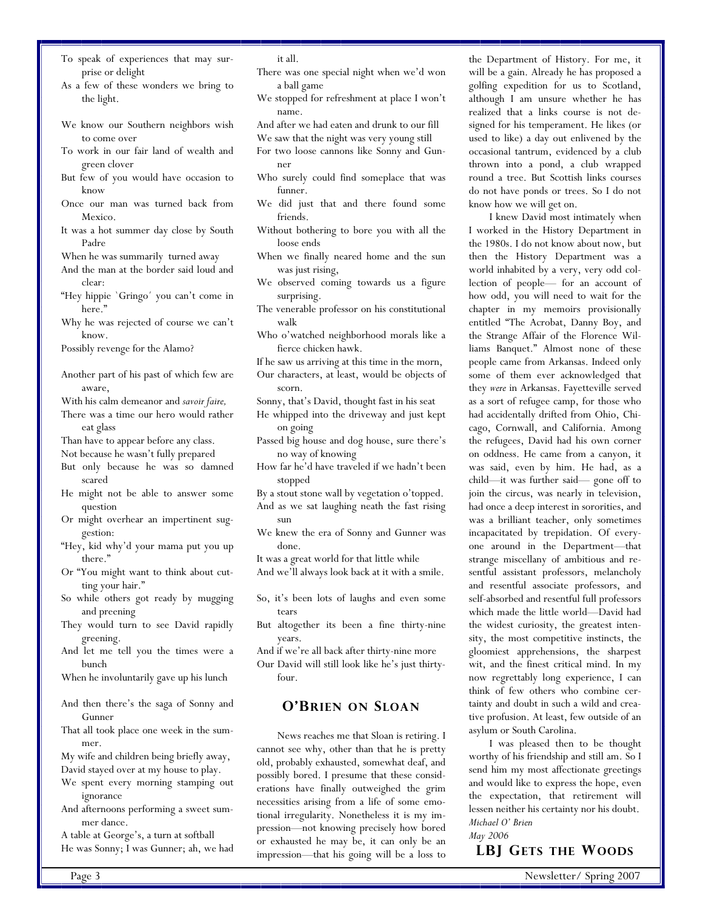- To speak of experiences that may surprise or delight
- As a few of these wonders we bring to the light.
- We know our Southern neighbors wish to come over
- To work in our fair land of wealth and green clover
- But few of you would have occasion to know
- Once our man was turned back from Mexico.
- It was a hot summer day close by South Padre

When he was summarily turned away

- And the man at the border said loud and clear:
- "Hey hippie `Gringo´ you can't come in here."
- Why he was rejected of course we can't know.

Possibly revenge for the Alamo?

- Another part of his past of which few are aware,
- With his calm demeanor and *savoir faire,*
- There was a time our hero would rather eat glass

Than have to appear before any class.

Not because he wasn't fully prepared

- But only because he was so damned scared
- He might not be able to answer some question
- Or might overhear an impertinent suggestion:
- "Hey, kid why'd your mama put you up there."
- Or "You might want to think about cutting your hair."
- So while others got ready by mugging and preening
- They would turn to see David rapidly greening.
- And let me tell you the times were a bunch
- When he involuntarily gave up his lunch
- And then there's the saga of Sonny and Gunner
- That all took place one week in the summer.

My wife and children being briefly away, David stayed over at my house to play.

- We spent every morning stamping out ignorance
- And afternoons performing a sweet summer dance.

A table at George's, a turn at softball He was Sonny; I was Gunner; ah, we had it all.

- There was one special night when we'd won a ball game
- We stopped for refreshment at place I won't name.
- And after we had eaten and drunk to our fill
- We saw that the night was very young still
- For two loose cannons like Sonny and Gunner
- Who surely could find someplace that was funner.
- We did just that and there found some friends.
- Without bothering to bore you with all the loose ends
- When we finally neared home and the sun was just rising,
- We observed coming towards us a figure surprising.
- The venerable professor on his constitutional walk
- Who o'watched neighborhood morals like a fierce chicken hawk.
- If he saw us arriving at this time in the morn,
- Our characters, at least, would be objects of scorn.
- Sonny, that's David, thought fast in his seat

He whipped into the driveway and just kept on going

Passed big house and dog house, sure there's no way of knowing

How far he'd have traveled if we hadn't been stopped

By a stout stone wall by vegetation o'topped.

- And as we sat laughing neath the fast rising sun
- We knew the era of Sonny and Gunner was done.

It was a great world for that little while

And we'll always look back at it with a smile.

- So, it's been lots of laughs and even some tears
- But altogether its been a fine thirty-nine years.

And if we're all back after thirty-nine more

Our David will still look like he's just thirtyfour.

# **O'BRIEN ON SLOAN**

 News reaches me that Sloan is retiring. I cannot see why, other than that he is pretty old, probably exhausted, somewhat deaf, and possibly bored. I presume that these considerations have finally outweighed the grim necessities arising from a life of some emotional irregularity. Nonetheless it is my impression—not knowing precisely how bored or exhausted he may be, it can only be an impression—that his going will be a loss to

the Department of History. For me, it will be a gain. Already he has proposed a golfing expedition for us to Scotland, although I am unsure whether he has realized that a links course is not designed for his temperament. He likes (or used to like) a day out enlivened by the occasional tantrum, evidenced by a club thrown into a pond, a club wrapped round a tree. But Scottish links courses do not have ponds or trees. So I do not know how we will get on.

 I knew David most intimately when I worked in the History Department in the 1980s. I do not know about now, but then the History Department was a world inhabited by a very, very odd collection of people— for an account of how odd, you will need to wait for the chapter in my memoirs provisionally entitled "The Acrobat, Danny Boy, and the Strange Affair of the Florence Williams Banquet." Almost none of these people came from Arkansas. Indeed only some of them ever acknowledged that they *were* in Arkansas. Fayetteville served as a sort of refugee camp, for those who had accidentally drifted from Ohio, Chicago, Cornwall, and California. Among the refugees, David had his own corner on oddness. He came from a canyon, it was said, even by him. He had, as a child—it was further said— gone off to join the circus, was nearly in television, had once a deep interest in sororities, and was a brilliant teacher, only sometimes incapacitated by trepidation. Of everyone around in the Department—that strange miscellany of ambitious and resentful assistant professors, melancholy and resentful associate professors, and self-absorbed and resentful full professors which made the little world—David had the widest curiosity, the greatest intensity, the most competitive instincts, the gloomiest apprehensions, the sharpest wit, and the finest critical mind. In my now regrettably long experience, I can think of few others who combine certainty and doubt in such a wild and creative profusion. At least, few outside of an asylum or South Carolina.

 I was pleased then to be thought worthy of his friendship and still am. So I send him my most affectionate greetings and would like to express the hope, even the expectation, that retirement will lessen neither his certainty nor his doubt. *Michael O' Brien* 

*May 2006* 

**LBJ GETS THE WOODS**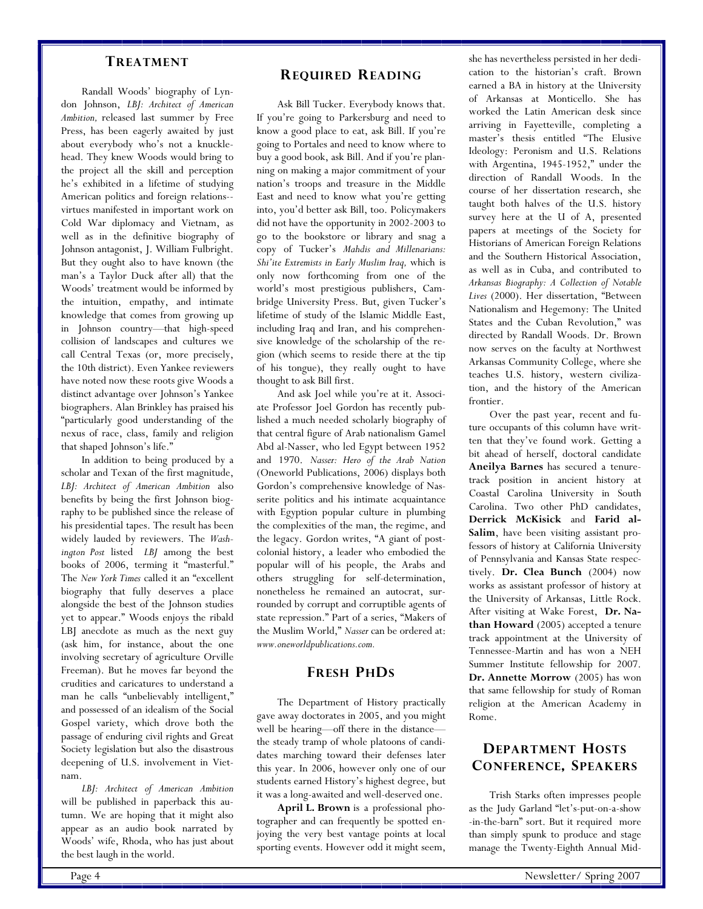#### **TREATMENT**

 Randall Woods' biography of Lyndon Johnson, *LBJ: Architect of American Ambition,* released last summer by Free Press, has been eagerly awaited by just about everybody who's not a knucklehead. They knew Woods would bring to the project all the skill and perception he's exhibited in a lifetime of studying American politics and foreign relations- virtues manifested in important work on Cold War diplomacy and Vietnam, as well as in the definitive biography of Johnson antagonist, J. William Fulbright. But they ought also to have known (the man's a Taylor Duck after all) that the Woods' treatment would be informed by the intuition, empathy, and intimate knowledge that comes from growing up in Johnson country—that high-speed collision of landscapes and cultures we call Central Texas (or, more precisely, the 10th district). Even Yankee reviewers have noted now these roots give Woods a distinct advantage over Johnson's Yankee biographers. Alan Brinkley has praised his "particularly good understanding of the nexus of race, class, family and religion that shaped Johnson's life."

 In addition to being produced by a scholar and Texan of the first magnitude, *LBJ: Architect of American Ambition* also benefits by being the first Johnson biography to be published since the release of his presidential tapes. The result has been widely lauded by reviewers. The *Washington Post* listed *LBJ* among the best books of 2006, terming it "masterful." The *New York Times* called it an "excellent biography that fully deserves a place alongside the best of the Johnson studies yet to appear." Woods enjoys the ribald LBJ anecdote as much as the next guy (ask him, for instance, about the one involving secretary of agriculture Orville Freeman). But he moves far beyond the crudities and caricatures to understand a man he calls "unbelievably intelligent," and possessed of an idealism of the Social Gospel variety, which drove both the passage of enduring civil rights and Great Society legislation but also the disastrous deepening of U.S. involvement in Vietnam.

*LBJ: Architect of American Ambition* will be published in paperback this autumn. We are hoping that it might also appear as an audio book narrated by Woods' wife, Rhoda, who has just about the best laugh in the world.

### **REQUIRED READING**

 Ask Bill Tucker. Everybody knows that. If you're going to Parkersburg and need to know a good place to eat, ask Bill. If you're going to Portales and need to know where to buy a good book, ask Bill. And if you're planning on making a major commitment of your nation's troops and treasure in the Middle East and need to know what you're getting into, you'd better ask Bill, too. Policymakers did not have the opportunity in 2002-2003 to go to the bookstore or library and snag a copy of Tucker's *Mahdis and Millenarians: Shi'ite Extremists in Early Muslim Iraq,* which is only now forthcoming from one of the world's most prestigious publishers, Cambridge University Press. But, given Tucker's lifetime of study of the Islamic Middle East, including Iraq and Iran, and his comprehensive knowledge of the scholarship of the region (which seems to reside there at the tip of his tongue), they really ought to have thought to ask Bill first.

 And ask Joel while you're at it. Associate Professor Joel Gordon has recently published a much needed scholarly biography of that central figure of Arab nationalism Gamel Abd al-Nasser, who led Egypt between 1952 and 1970. *Nasser: Hero of the Arab Nation* (Oneworld Publications, 2006) displays both Gordon's comprehensive knowledge of Nasserite politics and his intimate acquaintance with Egyption popular culture in plumbing the complexities of the man, the regime, and the legacy. Gordon writes, "A giant of postcolonial history, a leader who embodied the popular will of his people, the Arabs and others struggling for self-determination, nonetheless he remained an autocrat, surrounded by corrupt and corruptible agents of state repression." Part of a series, "Makers of the Muslim World," *Nasser* can be ordered at: *www.oneworldpublications.com.*

### **FRESH PHDS**

 The Department of History practically gave away doctorates in 2005, and you might well be hearing—off there in the distance the steady tramp of whole platoons of candidates marching toward their defenses later this year. In 2006, however only one of our students earned History's highest degree, but it was a long-awaited and well-deserved one.

**April L. Brown** is a professional photographer and can frequently be spotted enjoying the very best vantage points at local sporting events. However odd it might seem,

she has nevertheless persisted in her dedication to the historian's craft. Brown earned a BA in history at the University of Arkansas at Monticello. She has worked the Latin American desk since arriving in Fayetteville, completing a master's thesis entitled "The Elusive Ideology: Peronism and U.S. Relations with Argentina, 1945-1952," under the direction of Randall Woods. In the course of her dissertation research, she taught both halves of the U.S. history survey here at the U of A, presented papers at meetings of the Society for Historians of American Foreign Relations and the Southern Historical Association, as well as in Cuba, and contributed to *Arkansas Biography: A Collection of Notable Lives* (2000). Her dissertation, "Between Nationalism and Hegemony: The United States and the Cuban Revolution," was directed by Randall Woods. Dr. Brown now serves on the faculty at Northwest Arkansas Community College, where she teaches U.S. history, western civilization, and the history of the American frontier.

 Over the past year, recent and future occupants of this column have written that they've found work. Getting a bit ahead of herself, doctoral candidate **Aneilya Barnes** has secured a tenuretrack position in ancient history at Coastal Carolina University in South Carolina. Two other PhD candidates, **Derrick McKisick** and **Farid al-Salim**, have been visiting assistant professors of history at California University of Pennsylvania and Kansas State respectively. **Dr. Clea Bunch** (2004) now works as assistant professor of history at the University of Arkansas, Little Rock. After visiting at Wake Forest, **Dr. Nathan Howard** (2005) accepted a tenure track appointment at the University of Tennessee-Martin and has won a NEH Summer Institute fellowship for 2007. **Dr. Annette Morrow** (2005) has won that same fellowship for study of Roman religion at the American Academy in Rome.

# **DEPARTMENT HOSTS CONFERENCE, SPEAKERS**

 Trish Starks often impresses people as the Judy Garland "let's-put-on-a-show -in-the-barn" sort. But it required more than simply spunk to produce and stage manage the Twenty-Eighth Annual Mid-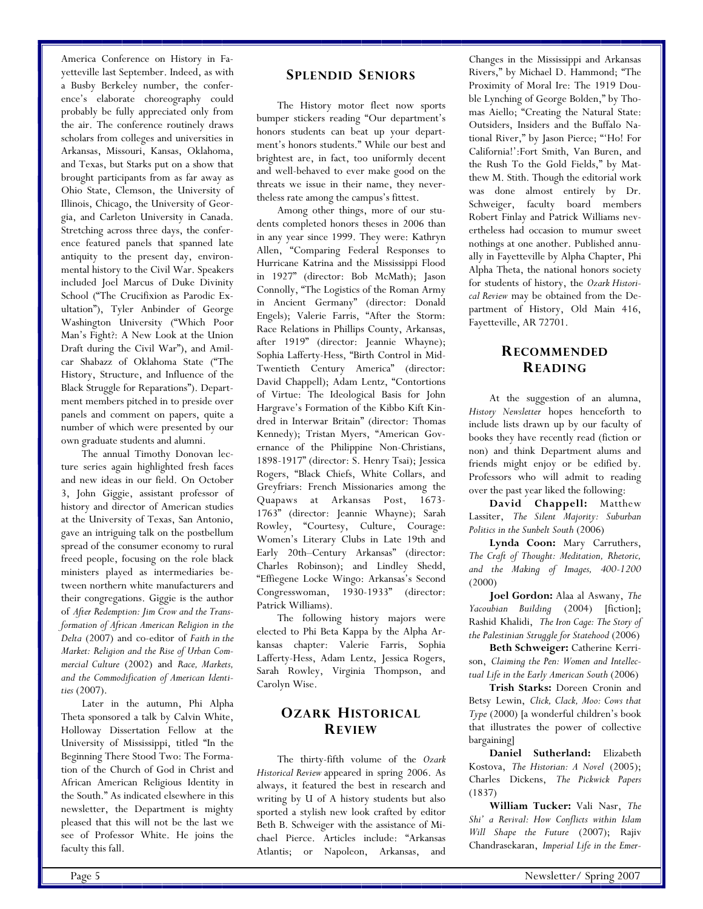America Conference on History in Fayetteville last September. Indeed, as with a Busby Berkeley number, the conference's elaborate choreography could probably be fully appreciated only from the air. The conference routinely draws scholars from colleges and universities in Arkansas, Missouri, Kansas, Oklahoma, and Texas, but Starks put on a show that brought participants from as far away as Ohio State, Clemson, the University of Illinois, Chicago, the University of Georgia, and Carleton University in Canada. Stretching across three days, the conference featured panels that spanned late antiquity to the present day, environmental history to the Civil War. Speakers included Joel Marcus of Duke Divinity School ("The Crucifixion as Parodic Exultation"), Tyler Anbinder of George Washington University ("Which Poor Man's Fight?: A New Look at the Union Draft during the Civil War"), and Amilcar Shabazz of Oklahoma State ("The History, Structure, and Influence of the Black Struggle for Reparations"). Department members pitched in to preside over panels and comment on papers, quite a number of which were presented by our own graduate students and alumni.

 The annual Timothy Donovan lecture series again highlighted fresh faces and new ideas in our field. On October 3, John Giggie, assistant professor of history and director of American studies at the University of Texas, San Antonio, gave an intriguing talk on the postbellum spread of the consumer economy to rural freed people, focusing on the role black ministers played as intermediaries between northern white manufacturers and their congregations. Giggie is the author of *After Redemption: Jim Crow and the Transformation of African American Religion in the Delta* (2007) and co-editor of *Faith in the Market: Religion and the Rise of Urban Commercial Culture* (2002) and *Race, Markets, and the Commodification of American Identities* (2007).

 Later in the autumn, Phi Alpha Theta sponsored a talk by Calvin White, Holloway Dissertation Fellow at the University of Mississippi, titled "In the Beginning There Stood Two: The Formation of the Church of God in Christ and African American Religious Identity in the South." As indicated elsewhere in this newsletter, the Department is mighty pleased that this will not be the last we see of Professor White. He joins the faculty this fall.

 The History motor fleet now sports bumper stickers reading "Our department's honors students can beat up your department's honors students." While our best and brightest are, in fact, too uniformly decent and well-behaved to ever make good on the threats we issue in their name, they nevertheless rate among the campus's fittest.

 Among other things, more of our students completed honors theses in 2006 than in any year since 1999. They were: Kathryn Allen, "Comparing Federal Responses to Hurricane Katrina and the Mississippi Flood in 1927" (director: Bob McMath); Jason Connolly, "The Logistics of the Roman Army in Ancient Germany" (director: Donald Engels); Valerie Farris, "After the Storm: Race Relations in Phillips County, Arkansas, after 1919" (director: Jeannie Whayne); Sophia Lafferty-Hess, "Birth Control in Mid-Twentieth Century America" (director: David Chappell); Adam Lentz, "Contortions of Virtue: The Ideological Basis for John Hargrave's Formation of the Kibbo Kift Kindred in Interwar Britain" (director: Thomas Kennedy); Tristan Myers, "American Governance of the Philippine Non-Christians, 1898-1917" (director: S. Henry Tsai); Jessica Rogers, "Black Chiefs, White Collars, and Greyfriars: French Missionaries among the Quapaws at Arkansas Post, 1673- 1763" (director: Jeannie Whayne); Sarah Rowley, "Courtesy, Culture, Courage: Women's Literary Clubs in Late 19th and Early 20th–Century Arkansas" (director: Charles Robinson); and Lindley Shedd, "Effiegene Locke Wingo: Arkansas's Second Congresswoman, 1930-1933" (director: Patrick Williams).

 The following history majors were elected to Phi Beta Kappa by the Alpha Arkansas chapter: Valerie Farris, Sophia Lafferty-Hess, Adam Lentz, Jessica Rogers, Sarah Rowley, Virginia Thompson, and Carolyn Wise.

# **OZARK HISTORICAL REVIEW**

 The thirty-fifth volume of the *Ozark Historical Review* appeared in spring 2006. As always, it featured the best in research and writing by U of A history students but also sported a stylish new look crafted by editor Beth B. Schweiger with the assistance of Michael Pierce. Articles include: "Arkansas Atlantis; or Napoleon, Arkansas, and

Changes in the Mississippi and Arkansas Rivers," by Michael D. Hammond; "The Proximity of Moral Ire: The 1919 Double Lynching of George Bolden," by Thomas Aiello; "Creating the Natural State: Outsiders, Insiders and the Buffalo National River," by Jason Pierce; "'Ho! For California!':Fort Smith, Van Buren, and the Rush To the Gold Fields," by Matthew M. Stith. Though the editorial work was done almost entirely by Dr. Schweiger, faculty board members Robert Finlay and Patrick Williams nevertheless had occasion to mumur sweet nothings at one another. Published annually in Fayetteville by Alpha Chapter, Phi Alpha Theta, the national honors society for students of history, the *Ozark Historical Review* may be obtained from the Department of History, Old Main 416, Fayetteville, AR 72701.

# **RECOMMENDED READING**

 At the suggestion of an alumna, *History Newsletter* hopes henceforth to include lists drawn up by our faculty of books they have recently read (fiction or non) and think Department alums and friends might enjoy or be edified by. Professors who will admit to reading over the past year liked the following:

 **David Chappell:** Matthew Lassiter, *The Silent Majority: Suburban Politics in the Sunbelt South* (2006)

**Lynda Coon:** Mary Carruthers, *The Craft of Thought: Meditation, Rhetoric, and the Making of Images, 400-1200* (2000)

**Joel Gordon:** Alaa al Aswany, *The Yacoubian Building* (2004) [fiction]; Rashid Khalidi, *The Iron Cage: The Story of the Palestinian Struggle for Statehood* (2006)

**Beth Schweiger:** Catherine Kerrison, *Claiming the Pen: Women and Intellectual Life in the Early American South* (2006)

**Trish Starks:** Doreen Cronin and Betsy Lewin, *Click, Clack, Moo: Cows that Type* (2000) [a wonderful children's book that illustrates the power of collective bargaining]

**Daniel Sutherland:** Elizabeth Kostova, *The Historian: A Novel* (2005); Charles Dickens, *The Pickwick Papers* (1837)

**William Tucker:** Vali Nasr, *The Shi' a Revival: How Conflicts within Islam Will Shape the Future* (2007); Rajiv Chandrasekaran, *Imperial Life in the Emer-*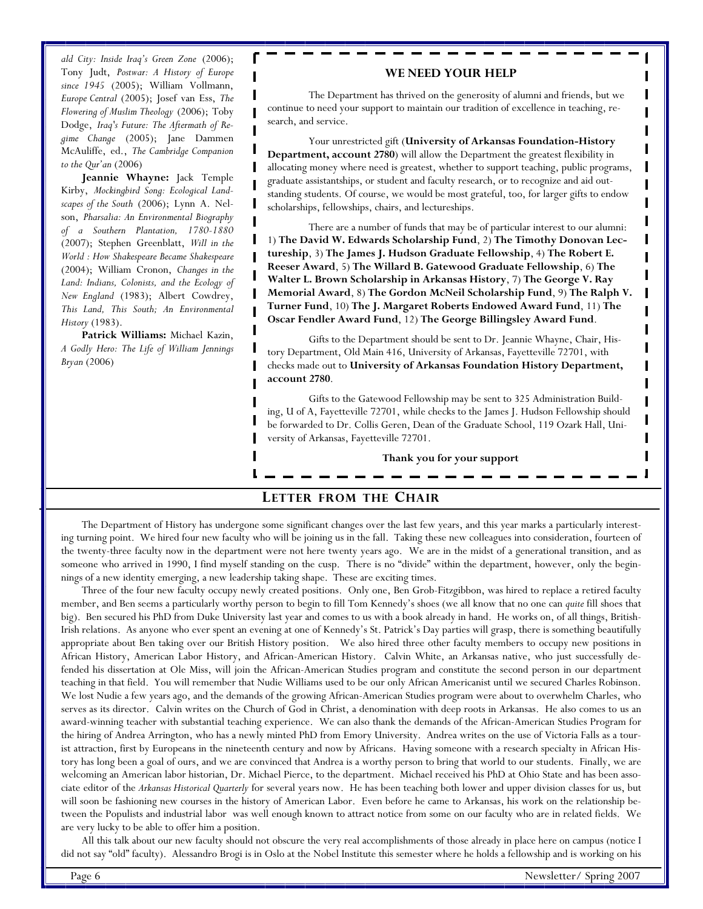*ald City: Inside Iraq's Green Zone* (2006); Tony Judt, *Postwar: A History of Europe since 1945* (2005); William Vollmann, *Europe Central* (2005); Josef van Ess, *The Flowering of Muslim Theology* (2006); Toby Dodge, *Iraq's Future: The Aftermath of Regime Change* (2005); Jane Dammen McAuliffe, ed., *The Cambridge Companion to the Qur'an* (2006)

**Jeannie Whayne:** Jack Temple Kirby, *Mockingbird Song: Ecological Landscapes of the South* (2006); Lynn A. Nelson, *Pharsalia: An Environmental Biography of a Southern Plantation, 1780-1880* (2007); Stephen Greenblatt, *Will in the World : How Shakespeare Became Shakespeare* (2004); William Cronon, *Changes in the Land: Indians, Colonists, and the Ecology of New England* (1983); Albert Cowdrey, *This Land, This South; An Environmental History* (1983).

**Patrick Williams:** Michael Kazin, *A Godly Hero: The Life of William Jennings Bryan* (2006)

#### **WE NEED YOUR HELP**

 The Department has thrived on the generosity of alumni and friends, but we continue to need your support to maintain our tradition of excellence in teaching, research, and service.

 Your unrestricted gift (**University of Arkansas Foundation-History Department, account 2780**) will allow the Department the greatest flexibility in allocating money where need is greatest, whether to support teaching, public programs, graduate assistantships, or student and faculty research, or to recognize and aid outstanding students. Of course, we would be most grateful, too, for larger gifts to endow scholarships, fellowships, chairs, and lectureships.

 There are a number of funds that may be of particular interest to our alumni: 1) **The David W. Edwards Scholarship Fund**, 2) **The Timothy Donovan Lectureship**, 3) **The James J. Hudson Graduate Fellowship**, 4) **The Robert E. Reeser Award**, 5) **The Willard B. Gatewood Graduate Fellowship**, 6) **The Walter L. Brown Scholarship in Arkansas History**, 7) **The George V. Ray Memorial Award**, 8) **The Gordon McNeil Scholarship Fund**, 9) **The Ralph V. Turner Fund**, 10) **The J. Margaret Roberts Endowed Award Fund**, 11) **The Oscar Fendler Award Fund**, 12) **The George Billingsley Award Fund**.

 Gifts to the Department should be sent to Dr. Jeannie Whayne, Chair, History Department, Old Main 416, University of Arkansas, Fayetteville 72701, with checks made out to **University of Arkansas Foundation History Department, account 2780**.

 Gifts to the Gatewood Fellowship may be sent to 325 Administration Building, U of A, Fayetteville 72701, while checks to the James J. Hudson Fellowship should be forwarded to Dr. Collis Geren, Dean of the Graduate School, 119 Ozark Hall, University of Arkansas, Fayetteville 72701.

**Thank you for your support**

#### **LETTER FROM THE CHAIR**

 The Department of History has undergone some significant changes over the last few years, and this year marks a particularly interesting turning point. We hired four new faculty who will be joining us in the fall. Taking these new colleagues into consideration, fourteen of the twenty-three faculty now in the department were not here twenty years ago. We are in the midst of a generational transition, and as someone who arrived in 1990, I find myself standing on the cusp. There is no "divide" within the department, however, only the beginnings of a new identity emerging, a new leadership taking shape. These are exciting times.

 Three of the four new faculty occupy newly created positions. Only one, Ben Grob-Fitzgibbon, was hired to replace a retired faculty member, and Ben seems a particularly worthy person to begin to fill Tom Kennedy's shoes (we all know that no one can *quite* fill shoes that big). Ben secured his PhD from Duke University last year and comes to us with a book already in hand. He works on, of all things, British-Irish relations. As anyone who ever spent an evening at one of Kennedy's St. Patrick's Day parties will grasp, there is something beautifully appropriate about Ben taking over our British History position. We also hired three other faculty members to occupy new positions in African History, American Labor History, and African-American History. Calvin White, an Arkansas native, who just successfully defended his dissertation at Ole Miss, will join the African-American Studies program and constitute the second person in our department teaching in that field. You will remember that Nudie Williams used to be our only African Americanist until we secured Charles Robinson. We lost Nudie a few years ago, and the demands of the growing African-American Studies program were about to overwhelm Charles, who serves as its director. Calvin writes on the Church of God in Christ, a denomination with deep roots in Arkansas. He also comes to us an award-winning teacher with substantial teaching experience. We can also thank the demands of the African-American Studies Program for the hiring of Andrea Arrington, who has a newly minted PhD from Emory University. Andrea writes on the use of Victoria Falls as a tourist attraction, first by Europeans in the nineteenth century and now by Africans. Having someone with a research specialty in African History has long been a goal of ours, and we are convinced that Andrea is a worthy person to bring that world to our students. Finally, we are welcoming an American labor historian, Dr. Michael Pierce, to the department. Michael received his PhD at Ohio State and has been associate editor of the *Arkansas Historical Quarterly* for several years now. He has been teaching both lower and upper division classes for us, but will soon be fashioning new courses in the history of American Labor. Even before he came to Arkansas, his work on the relationship between the Populists and industrial labor was well enough known to attract notice from some on our faculty who are in related fields. We are very lucky to be able to offer him a position.

 All this talk about our new faculty should not obscure the very real accomplishments of those already in place here on campus (notice I did not say "old" faculty). Alessandro Brogi is in Oslo at the Nobel Institute this semester where he holds a fellowship and is working on his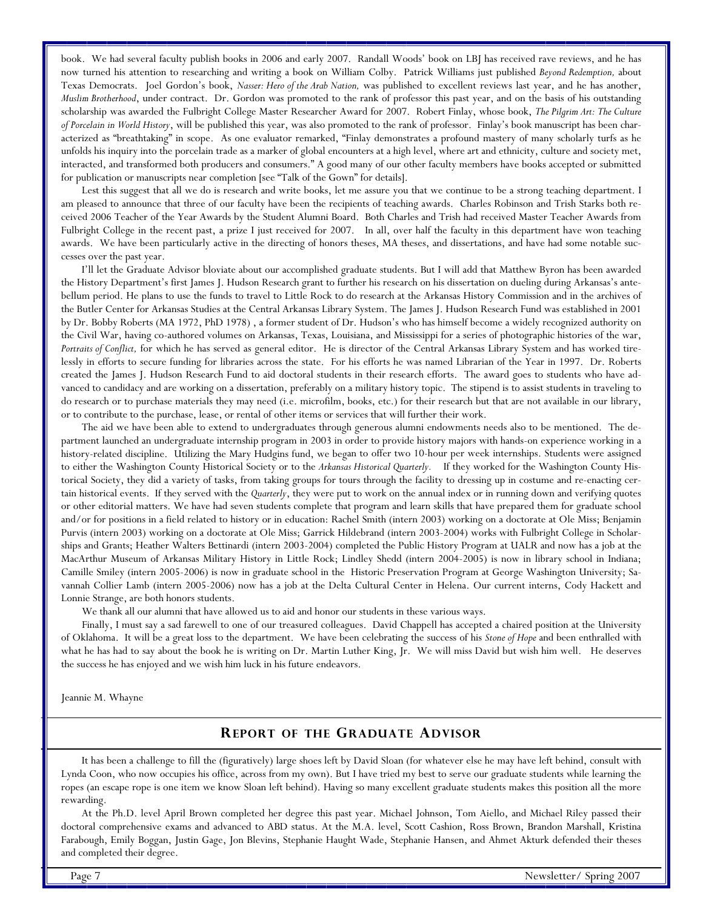book. We had several faculty publish books in 2006 and early 2007. Randall Woods' book on LBJ has received rave reviews, and he has now turned his attention to researching and writing a book on William Colby. Patrick Williams just published *Beyond Redemption,* about Texas Democrats. Joel Gordon's book, *Nasser: Hero of the Arab Nation,* was published to excellent reviews last year, and he has another, *Muslim Brotherhood*, under contract. Dr. Gordon was promoted to the rank of professor this past year, and on the basis of his outstanding scholarship was awarded the Fulbright College Master Researcher Award for 2007. Robert Finlay, whose book, *The Pilgrim Art: The Culture of Porcelain in World History*, will be published this year, was also promoted to the rank of professor. Finlay's book manuscript has been characterized as "breathtaking" in scope. As one evaluator remarked, "Finlay demonstrates a profound mastery of many scholarly turfs as he unfolds his inquiry into the porcelain trade as a marker of global encounters at a high level, where art and ethnicity, culture and society met, interacted, and transformed both producers and consumers." A good many of our other faculty members have books accepted or submitted for publication or manuscripts near completion [see "Talk of the Gown" for details].

 Lest this suggest that all we do is research and write books, let me assure you that we continue to be a strong teaching department. I am pleased to announce that three of our faculty have been the recipients of teaching awards. Charles Robinson and Trish Starks both received 2006 Teacher of the Year Awards by the Student Alumni Board. Both Charles and Trish had received Master Teacher Awards from Fulbright College in the recent past, a prize I just received for 2007. In all, over half the faculty in this department have won teaching awards. We have been particularly active in the directing of honors theses, MA theses, and dissertations, and have had some notable successes over the past year.

 I'll let the Graduate Advisor bloviate about our accomplished graduate students. But I will add that Matthew Byron has been awarded the History Department's first James J. Hudson Research grant to further his research on his dissertation on dueling during Arkansas's antebellum period. He plans to use the funds to travel to Little Rock to do research at the Arkansas History Commission and in the archives of the Butler Center for Arkansas Studies at the Central Arkansas Library System. The James J. Hudson Research Fund was established in 2001 by Dr. Bobby Roberts (MA 1972, PhD 1978) , a former student of Dr. Hudson's who has himself become a widely recognized authority on the Civil War, having co-authored volumes on Arkansas, Texas, Louisiana, and Mississippi for a series of photographic histories of the war, *Portraits of Conflict,* for which he has served as general editor. He is director of the Central Arkansas Library System and has worked tirelessly in efforts to secure funding for libraries across the state. For his efforts he was named Librarian of the Year in 1997. Dr. Roberts created the James J. Hudson Research Fund to aid doctoral students in their research efforts. The award goes to students who have advanced to candidacy and are working on a dissertation, preferably on a military history topic. The stipend is to assist students in traveling to do research or to purchase materials they may need (i.e. microfilm, books, etc.) for their research but that are not available in our library, or to contribute to the purchase, lease, or rental of other items or services that will further their work.

 The aid we have been able to extend to undergraduates through generous alumni endowments needs also to be mentioned. The department launched an undergraduate internship program in 2003 in order to provide history majors with hands-on experience working in a history-related discipline. Utilizing the Mary Hudgins fund, we began to offer two 10-hour per week internships. Students were assigned to either the Washington County Historical Society or to the *Arkansas Historical Quarterly.* If they worked for the Washington County Historical Society, they did a variety of tasks, from taking groups for tours through the facility to dressing up in costume and re-enacting certain historical events. If they served with the *Quarterly*, they were put to work on the annual index or in running down and verifying quotes or other editorial matters. We have had seven students complete that program and learn skills that have prepared them for graduate school and/or for positions in a field related to history or in education: Rachel Smith (intern 2003) working on a doctorate at Ole Miss; Benjamin Purvis (intern 2003) working on a doctorate at Ole Miss; Garrick Hildebrand (intern 2003-2004) works with Fulbright College in Scholarships and Grants; Heather Walters Bettinardi (intern 2003-2004) completed the Public History Program at UALR and now has a job at the MacArthur Museum of Arkansas Military History in Little Rock; Lindley Shedd (intern 2004-2005) is now in library school in Indiana; Camille Smiley (intern 2005-2006) is now in graduate school in the Historic Preservation Program at George Washington University; Savannah Collier Lamb (intern 2005-2006) now has a job at the Delta Cultural Center in Helena. Our current interns, Cody Hackett and Lonnie Strange, are both honors students.

We thank all our alumni that have allowed us to aid and honor our students in these various ways.

 Finally, I must say a sad farewell to one of our treasured colleagues. David Chappell has accepted a chaired position at the University of Oklahoma. It will be a great loss to the department. We have been celebrating the success of his *Stone of Hope* and been enthralled with what he has had to say about the book he is writing on Dr. Martin Luther King, Jr. We will miss David but wish him well. He deserves the success he has enjoyed and we wish him luck in his future endeavors.

Jeannie M. Whayne

### **REPORT OF THE GRADUATE ADVISOR**

 It has been a challenge to fill the (figuratively) large shoes left by David Sloan (for whatever else he may have left behind, consult with Lynda Coon, who now occupies his office, across from my own). But I have tried my best to serve our graduate students while learning the ropes (an escape rope is one item we know Sloan left behind). Having so many excellent graduate students makes this position all the more rewarding.

 At the Ph.D. level April Brown completed her degree this past year. Michael Johnson, Tom Aiello, and Michael Riley passed their doctoral comprehensive exams and advanced to ABD status. At the M.A. level, Scott Cashion, Ross Brown, Brandon Marshall, Kristina Farabough, Emily Boggan, Justin Gage, Jon Blevins, Stephanie Haught Wade, Stephanie Hansen, and Ahmet Akturk defended their theses and completed their degree.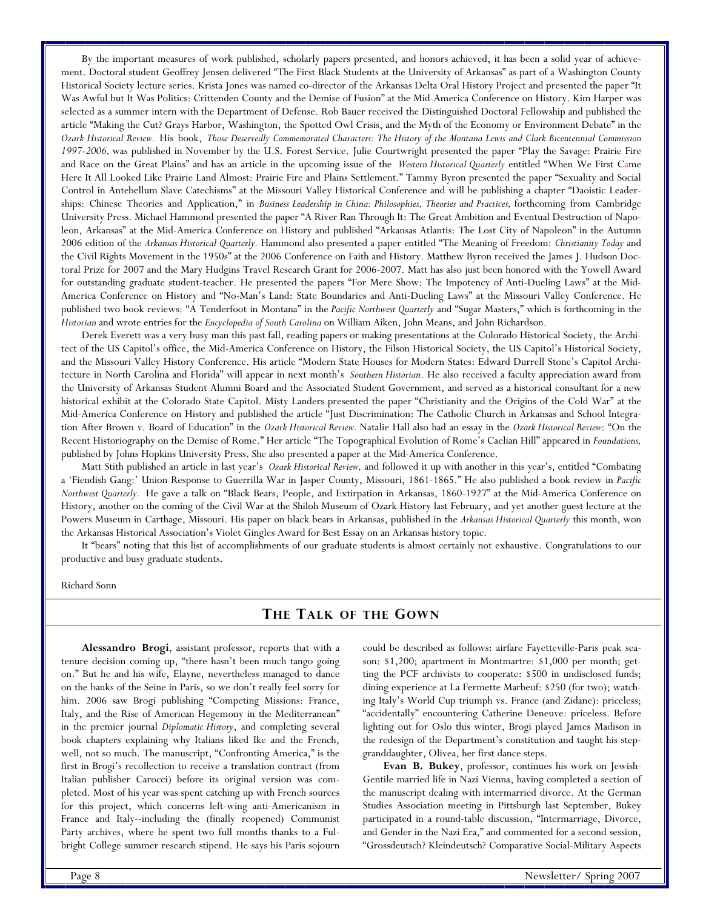By the important measures of work published, scholarly papers presented, and honors achieved, it has been a solid year of achievement. Doctoral student Geoffrey Jensen delivered "The First Black Students at the University of Arkansas" as part of a Washington County Historical Society lecture series. Krista Jones was named co-director of the Arkansas Delta Oral History Project and presented the paper "It Was Awful but It Was Politics: Crittenden County and the Demise of Fusion" at the Mid-America Conference on History. Kim Harper was selected as a summer intern with the Department of Defense. Rob Bauer received the Distinguished Doctoral Fellowship and published the article "Making the Cut? Grays Harbor, Washington, the Spotted Owl Crisis, and the Myth of the Economy or Environment Debate" in the *Ozark Historical Review.* His book, *Those Deservedly Commemorated Characters: The History of the Montana Lewis and Clark Bicentennial Commission 1997-2006,* was published in November by the U.S. Forest Service. Julie Courtwright presented the paper "Play the Savage: Prairie Fire and Race on the Great Plains" and has an article in the upcoming issue of the *Western Historical Quarterly* entitled "When We First Came Here It All Looked Like Prairie Land Almost: Prairie Fire and Plains Settlement." Tammy Byron presented the paper "Sexuality and Social Control in Antebellum Slave Catechisms" at the Missouri Valley Historical Conference and will be publishing a chapter "Daoistic Leaderships: Chinese Theories and Application," in *Business Leadership in China: Philosophies, Theories and Practices,* forthcoming from Cambridge University Press. Michael Hammond presented the paper "A River Ran Through It: The Great Ambition and Eventual Destruction of Napoleon, Arkansas" at the Mid-America Conference on History and published "Arkansas Atlantis: The Lost City of Napoleon" in the Autumn 2006 edition of the *Arkansas Historical Quarterly.* Hammond also presented a paper entitled "The Meaning of Freedom: *Christianity Today* and the Civil Rights Movement in the 1950s" at the 2006 Conference on Faith and History. Matthew Byron received the James J. Hudson Doctoral Prize for 2007 and the Mary Hudgins Travel Research Grant for 2006-2007. Matt has also just been honored with the Yowell Award for outstanding graduate student-teacher. He presented the papers "For Mere Show: The Impotency of Anti-Dueling Laws" at the Mid-America Conference on History and "No-Man's Land: State Boundaries and Anti-Dueling Laws" at the Missouri Valley Conference. He published two book reviews: "A Tenderfoot in Montana" in the *Pacific Northwest Quarterly* and "Sugar Masters," which is forthcoming in the *Historian* and wrote entries for the *Encyclopedia of South Carolina* on William Aiken, John Means, and John Richardson.

 Derek Everett was a very busy man this past fall, reading papers or making presentations at the Colorado Historical Society, the Architect of the US Capitol's office, the Mid-America Conference on History, the Filson Historical Society, the US Capitol's Historical Society, and the Missouri Valley History Conference. His article "Modern State Houses for Modern States: Edward Durrell Stone's Capitol Architecture in North Carolina and Florida" will appear in next month's *Southern Historian*. He also received a faculty appreciation award from the University of Arkansas Student Alumni Board and the Associated Student Government, and served as a historical consultant for a new historical exhibit at the Colorado State Capitol. Misty Landers presented the paper "Christianity and the Origins of the Cold War" at the Mid-America Conference on History and published the article "Just Discrimination: The Catholic Church in Arkansas and School Integration After Brown v. Board of Education" in the *Ozark Historical Review.* Natalie Hall also had an essay in the *Ozark Historical Review*: "On the Recent Historiography on the Demise of Rome." Her article "The Topographical Evolution of Rome's Caelian Hill" appeared in *Foundations,* published by Johns Hopkins University Press. She also presented a paper at the Mid-America Conference.

 Matt Stith published an article in last year's *Ozark Historical Review,* and followed it up with another in this year's, entitled "Combating a 'Fiendish Gang:' Union Response to Guerrilla War in Jasper County, Missouri, 1861-1865." He also published a book review in *Pacific Northwest Quarterly.* He gave a talk on "Black Bears, People, and Extirpation in Arkansas, 1860-1927" at the Mid-America Conference on History, another on the coming of the Civil War at the Shiloh Museum of Ozark History last February, and yet another guest lecture at the Powers Museum in Carthage, Missouri. His paper on black bears in Arkansas, published in the *Arkansas Historical Quarterly* this month, won the Arkansas Historical Association's Violet Gingles Award for Best Essay on an Arkansas history topic.

 It "bears" noting that this list of accomplishments of our graduate students is almost certainly not exhaustive. Congratulations to our productive and busy graduate students.

Richard Sonn

# **THE TALK OF THE GOWN**

 **Alessandro Brogi**, assistant professor, reports that with a tenure decision coming up, "there hasn't been much tango going on." But he and his wife, Elayne, nevertheless managed to dance on the banks of the Seine in Paris, so we don't really feel sorry for him. 2006 saw Brogi publishing "Competing Missions: France, Italy, and the Rise of American Hegemony in the Mediterranean" in the premier journal *Diplomatic History*, and completing several book chapters explaining why Italians liked Ike and the French, well, not so much. The manuscript, "Confronting America," is the first in Brogi's recollection to receive a translation contract (from Italian publisher Carocci) before its original version was completed. Most of his year was spent catching up with French sources for this project, which concerns left-wing anti-Americanism in France and Italy--including the (finally reopened) Communist Party archives, where he spent two full months thanks to a Fulbright College summer research stipend. He says his Paris sojourn

could be described as follows: airfare Fayetteville-Paris peak season: \$1,200; apartment in Montmartre: \$1,000 per month; getting the PCF archivists to cooperate: \$500 in undisclosed funds; dining experience at La Fermette Marbeuf: \$250 (for two); watching Italy's World Cup triumph vs. France (and Zidane): priceless; "accidentally" encountering Catherine Deneuve: priceless. Before lighting out for Oslo this winter, Brogi played James Madison in the redesign of the Department's constitution and taught his stepgranddaughter, Olivea, her first dance steps.

**Evan B. Bukey**, professor, continues his work on Jewish-Gentile married life in Nazi Vienna, having completed a section of the manuscript dealing with intermarried divorce. At the German Studies Association meeting in Pittsburgh last September, Bukey participated in a round-table discussion, "Intermarriage, Divorce, and Gender in the Nazi Era," and commented for a second session, "Grossdeutsch? Kleindeutsch? Comparative Social-Military Aspects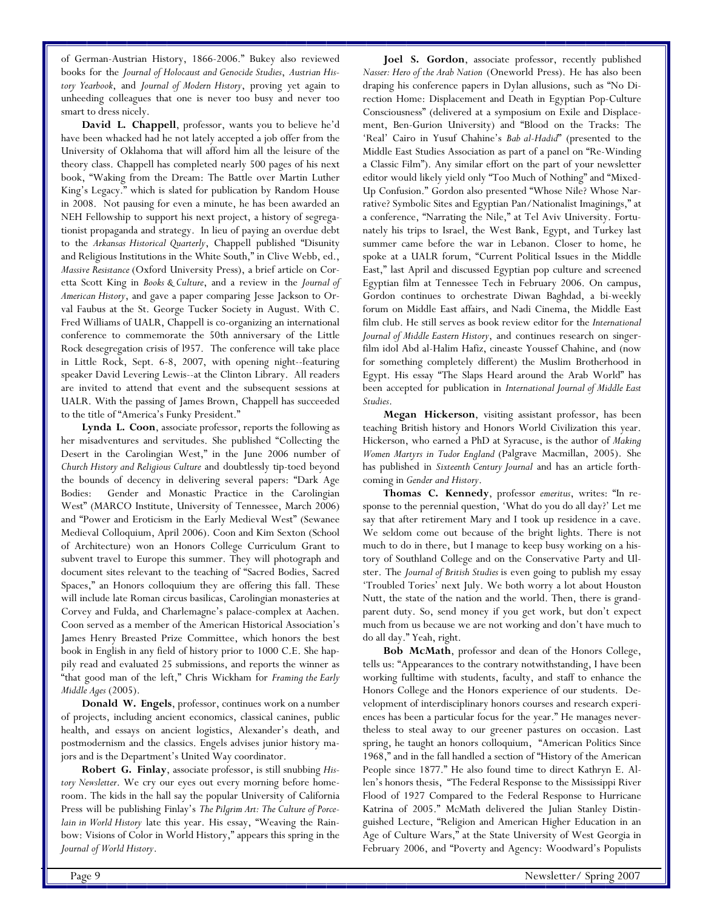of German-Austrian History, 1866-2006." Bukey also reviewed books for the *Journal of Holocaust and Genocide Studies*, *Austrian History Yearbook*, and *Journal of Modern History*, proving yet again to unheeding colleagues that one is never too busy and never too smart to dress nicely.

**David L. Chappell**, professor, wants you to believe he'd have been whacked had he not lately accepted a job offer from the University of Oklahoma that will afford him all the leisure of the theory class. Chappell has completed nearly 500 pages of his next book, "Waking from the Dream: The Battle over Martin Luther King's Legacy." which is slated for publication by Random House in 2008. Not pausing for even a minute, he has been awarded an NEH Fellowship to support his next project, a history of segregationist propaganda and strategy. In lieu of paying an overdue debt to the *Arkansas Historical Quarterly*, Chappell published "Disunity and Religious Institutions in the White South," in Clive Webb, ed., *Massive Resistance* (Oxford University Press), a brief article on Coretta Scott King in *Books & Culture*, and a review in the *Journal of American History*, and gave a paper comparing Jesse Jackson to Orval Faubus at the St. George Tucker Society in August. With C. Fred Williams of UALR, Chappell is co-organizing an international conference to commemorate the 50th anniversary of the Little Rock desegregation crisis of l957. The conference will take place in Little Rock, Sept. 6-8, 2007, with opening night--featuring speaker David Levering Lewis--at the Clinton Library. All readers are invited to attend that event and the subsequent sessions at UALR. With the passing of James Brown, Chappell has succeeded to the title of "America's Funky President."

**Lynda L. Coon**, associate professor, reports the following as her misadventures and servitudes. She published "Collecting the Desert in the Carolingian West," in the June 2006 number of *Church History and Religious Culture* and doubtlessly tip-toed beyond the bounds of decency in delivering several papers: "Dark Age Bodies: Gender and Monastic Practice in the Carolingian West" (MARCO Institute, University of Tennessee, March 2006) and "Power and Eroticism in the Early Medieval West" (Sewanee Medieval Colloquium, April 2006). Coon and Kim Sexton (School of Architecture) won an Honors College Curriculum Grant to subvent travel to Europe this summer. They will photograph and document sites relevant to the teaching of "Sacred Bodies, Sacred Spaces," an Honors colloquium they are offering this fall. These will include late Roman circus basilicas, Carolingian monasteries at Corvey and Fulda, and Charlemagne's palace-complex at Aachen. Coon served as a member of the American Historical Association's James Henry Breasted Prize Committee, which honors the best book in English in any field of history prior to 1000 C.E. She happily read and evaluated 25 submissions, and reports the winner as "that good man of the left," Chris Wickham for *Framing the Early Middle Ages* (2005).

**Donald W. Engels**, professor, continues work on a number of projects, including ancient economics, classical canines, public health, and essays on ancient logistics, Alexander's death, and postmodernism and the classics. Engels advises junior history majors and is the Department's United Way coordinator.

**Robert G. Finlay**, associate professor, is still snubbing *History Newsletter*. We cry our eyes out every morning before homeroom. The kids in the hall say the popular University of California Press will be publishing Finlay's *The Pilgrim Art: The Culture of Porcelain in World History* late this year. His essay, "Weaving the Rainbow: Visions of Color in World History," appears this spring in the *Journal of World History*.

**Joel S. Gordon**, associate professor, recently published *Nasser: Hero of the Arab Nation* (Oneworld Press). He has also been draping his conference papers in Dylan allusions, such as "No Direction Home: Displacement and Death in Egyptian Pop-Culture Consciousness" (delivered at a symposium on Exile and Displacement, Ben-Gurion University) and "Blood on the Tracks: The 'Real' Cairo in Yusuf Chahine's *Bab al-Hadid*" (presented to the Middle East Studies Association as part of a panel on "Re-Winding a Classic Film"). Any similar effort on the part of your newsletter editor would likely yield only "Too Much of Nothing" and "Mixed-Up Confusion." Gordon also presented "Whose Nile? Whose Narrative? Symbolic Sites and Egyptian Pan/Nationalist Imaginings," at a conference, "Narrating the Nile," at Tel Aviv University. Fortunately his trips to Israel, the West Bank, Egypt, and Turkey last summer came before the war in Lebanon. Closer to home, he spoke at a UALR forum, "Current Political Issues in the Middle East," last April and discussed Egyptian pop culture and screened Egyptian film at Tennessee Tech in February 2006. On campus, Gordon continues to orchestrate Diwan Baghdad, a bi-weekly forum on Middle East affairs, and Nadi Cinema, the Middle East film club. He still serves as book review editor for the *International Journal of Middle Eastern History*, and continues research on singerfilm idol Abd al-Halim Hafiz, cineaste Youssef Chahine, and (now for something completely different) the Muslim Brotherhood in Egypt. His essay "The Slaps Heard around the Arab World" has been accepted for publication in *International Journal of Middle East Studies*. **Megan Hickerson**, visiting assistant professor, has been

teaching British history and Honors World Civilization this year. Hickerson, who earned a PhD at Syracuse, is the author of *Making Women Martyrs in Tudor England* (Palgrave Macmillan, 2005). She has published in *Sixteenth Century Journal* and has an article forthcoming in *Gender and History*.

**Thomas C. Kennedy**, professor *emeritus*, writes: "In response to the perennial question, 'What do you do all day?' Let me say that after retirement Mary and I took up residence in a cave. We seldom come out because of the bright lights. There is not much to do in there, but I manage to keep busy working on a history of Southland College and on the Conservative Party and Ulster. The *Journal of British Studies* is even going to publish my essay 'Troubled Tories' next July. We both worry a lot about Houston Nutt, the state of the nation and the world. Then, there is grandparent duty. So, send money if you get work, but don't expect much from us because we are not working and don't have much to do all day." Yeah, right.

**Bob McMath**, professor and dean of the Honors College, tells us: "Appearances to the contrary notwithstanding, I have been working fulltime with students, faculty, and staff to enhance the Honors College and the Honors experience of our students. Development of interdisciplinary honors courses and research experiences has been a particular focus for the year." He manages nevertheless to steal away to our greener pastures on occasion. Last spring, he taught an honors colloquium, "American Politics Since 1968," and in the fall handled a section of "History of the American People since 1877." He also found time to direct Kathryn E. Allen's honors thesis, "The Federal Response to the Mississippi River Flood of 1927 Compared to the Federal Response to Hurricane Katrina of 2005." McMath delivered the Julian Stanley Distinguished Lecture, "Religion and American Higher Education in an Age of Culture Wars," at the State University of West Georgia in February 2006, and "Poverty and Agency: Woodward's Populists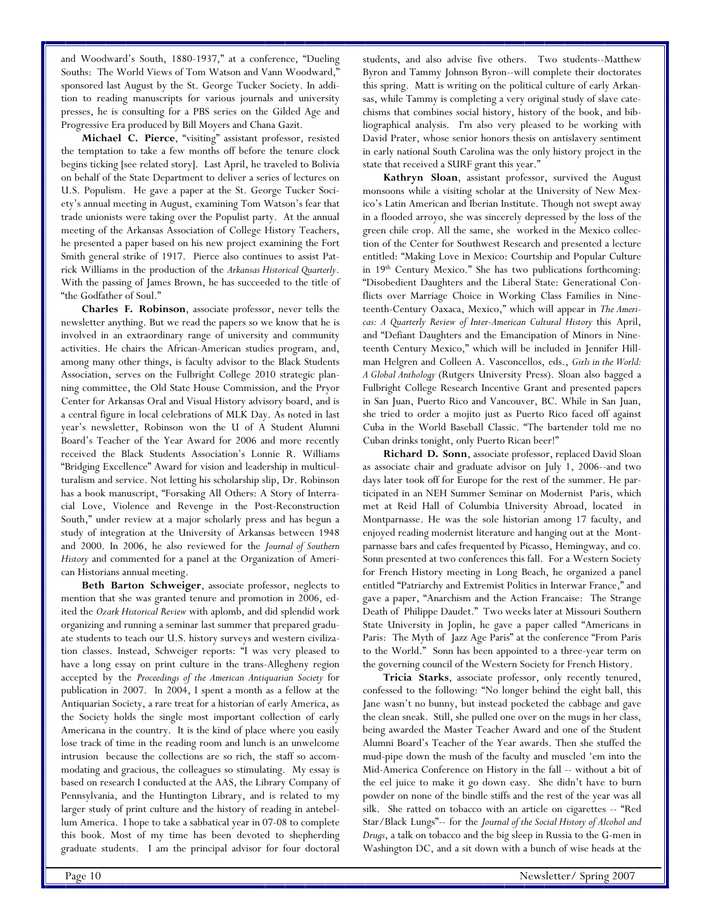and Woodward's South, 1880-1937," at a conference, "Dueling Souths: The World Views of Tom Watson and Vann Woodward," sponsored last August by the St. George Tucker Society. In addition to reading manuscripts for various journals and university presses, he is consulting for a PBS series on the Gilded Age and Progressive Era produced by Bill Moyers and Chana Gazit.

**Michael C. Pierce**, "visiting" assistant professor, resisted the temptation to take a few months off before the tenure clock begins ticking [see related story]. Last April, he traveled to Bolivia on behalf of the State Department to deliver a series of lectures on U.S. Populism. He gave a paper at the St. George Tucker Society's annual meeting in August, examining Tom Watson's fear that trade unionists were taking over the Populist party. At the annual meeting of the Arkansas Association of College History Teachers, he presented a paper based on his new project examining the Fort Smith general strike of 1917. Pierce also continues to assist Patrick Williams in the production of the *Arkansas Historical Quarterly*. With the passing of James Brown, he has succeeded to the title of "the Godfather of Soul."

**Charles F. Robinson**, associate professor, never tells the newsletter anything. But we read the papers so we know that he is involved in an extraordinary range of university and community activities. He chairs the African-American studies program, and, among many other things, is faculty advisor to the Black Students Association, serves on the Fulbright College 2010 strategic planning committee, the Old State House Commission, and the Pryor Center for Arkansas Oral and Visual History advisory board, and is a central figure in local celebrations of MLK Day. As noted in last year's newsletter, Robinson won the U of A Student Alumni Board's Teacher of the Year Award for 2006 and more recently received the Black Students Association's Lonnie R. Williams "Bridging Excellence" Award for vision and leadership in multiculturalism and service. Not letting his scholarship slip, Dr. Robinson has a book manuscript, "Forsaking All Others: A Story of Interracial Love, Violence and Revenge in the Post-Reconstruction South," under review at a major scholarly press and has begun a study of integration at the University of Arkansas between 1948 and 2000. In 2006, he also reviewed for the *Journal of Southern History* and commented for a panel at the Organization of American Historians annual meeting.

**Beth Barton Schweiger**, associate professor, neglects to mention that she was granted tenure and promotion in 2006, edited the *Ozark Historical Review* with aplomb, and did splendid work organizing and running a seminar last summer that prepared graduate students to teach our U.S. history surveys and western civilization classes. Instead, Schweiger reports: "I was very pleased to have a long essay on print culture in the trans-Allegheny region accepted by the *Proceedings of the American Antiquarian Society* for publication in 2007. In 2004, I spent a month as a fellow at the Antiquarian Society, a rare treat for a historian of early America, as the Society holds the single most important collection of early Americana in the country. It is the kind of place where you easily lose track of time in the reading room and lunch is an unwelcome intrusion because the collections are so rich, the staff so accommodating and gracious, the colleagues so stimulating. My essay is based on research I conducted at the AAS, the Library Company of Pennsylvania, and the Huntington Library, and is related to my larger study of print culture and the history of reading in antebellum America. I hope to take a sabbatical year in 07-08 to complete this book. Most of my time has been devoted to shepherding graduate students. I am the principal advisor for four doctoral

students, and also advise five others. Two students--Matthew Byron and Tammy Johnson Byron--will complete their doctorates this spring. Matt is writing on the political culture of early Arkansas, while Tammy is completing a very original study of slave catechisms that combines social history, history of the book, and bibliographical analysis. I'm also very pleased to be working with David Prater, whose senior honors thesis on antislavery sentiment in early national South Carolina was the only history project in the state that received a SURF grant this year."

**Kathryn Sloan**, assistant professor, survived the August monsoons while a visiting scholar at the University of New Mexico's Latin American and Iberian Institute. Though not swept away in a flooded arroyo, she was sincerely depressed by the loss of the green chile crop. All the same, she worked in the Mexico collection of the Center for Southwest Research and presented a lecture entitled: "Making Love in Mexico: Courtship and Popular Culture in  $19<sup>th</sup>$  Century Mexico." She has two publications forthcoming: "Disobedient Daughters and the Liberal State: Generational Conflicts over Marriage Choice in Working Class Families in Nineteenth-Century Oaxaca, Mexico," which will appear in *The Americas: A Quarterly Review of Inter-American Cultural History* this April, and "Defiant Daughters and the Emancipation of Minors in Nineteenth Century Mexico," which will be included in Jennifer Hillman Helgren and Colleen A. Vasconcellos, eds., *Girls in the World: A Global Anthology* (Rutgers University Press). Sloan also bagged a Fulbright College Research Incentive Grant and presented papers in San Juan, Puerto Rico and Vancouver, BC. While in San Juan, she tried to order a mojito just as Puerto Rico faced off against Cuba in the World Baseball Classic. "The bartender told me no Cuban drinks tonight, only Puerto Rican beer!"

**Richard D. Sonn**, associate professor, replaced David Sloan as associate chair and graduate advisor on July 1, 2006--and two days later took off for Europe for the rest of the summer. He participated in an NEH Summer Seminar on Modernist Paris, which met at Reid Hall of Columbia University Abroad, located in Montparnasse. He was the sole historian among 17 faculty, and enjoyed reading modernist literature and hanging out at the Montparnasse bars and cafes frequented by Picasso, Hemingway, and co. Sonn presented at two conferences this fall. For a Western Society for French History meeting in Long Beach, he organized a panel entitled "Patriarchy and Extremist Politics in Interwar France," and gave a paper, "Anarchism and the Action Francaise: The Strange Death of Philippe Daudet." Two weeks later at Missouri Southern State University in Joplin, he gave a paper called "Americans in Paris: The Myth of Jazz Age Paris" at the conference "From Paris to the World." Sonn has been appointed to a three-year term on the governing council of the Western Society for French History.

**Tricia Starks**, associate professor, only recently tenured, confessed to the following: "No longer behind the eight ball, this Jane wasn't no bunny, but instead pocketed the cabbage and gave the clean sneak. Still, she pulled one over on the mugs in her class, being awarded the Master Teacher Award and one of the Student Alumni Board's Teacher of the Year awards. Then she stuffed the mud-pipe down the mush of the faculty and muscled 'em into the Mid-America Conference on History in the fall -- without a bit of the eel juice to make it go down easy. She didn't have to burn powder on none of the bindle stiffs and the rest of the year was all silk. She ratted on tobacco with an article on cigarettes -- "Red Star/Black Lungs"-- for the *Journal of the Social History of Alcohol and Drugs*, a talk on tobacco and the big sleep in Russia to the G-men in Washington DC, and a sit down with a bunch of wise heads at the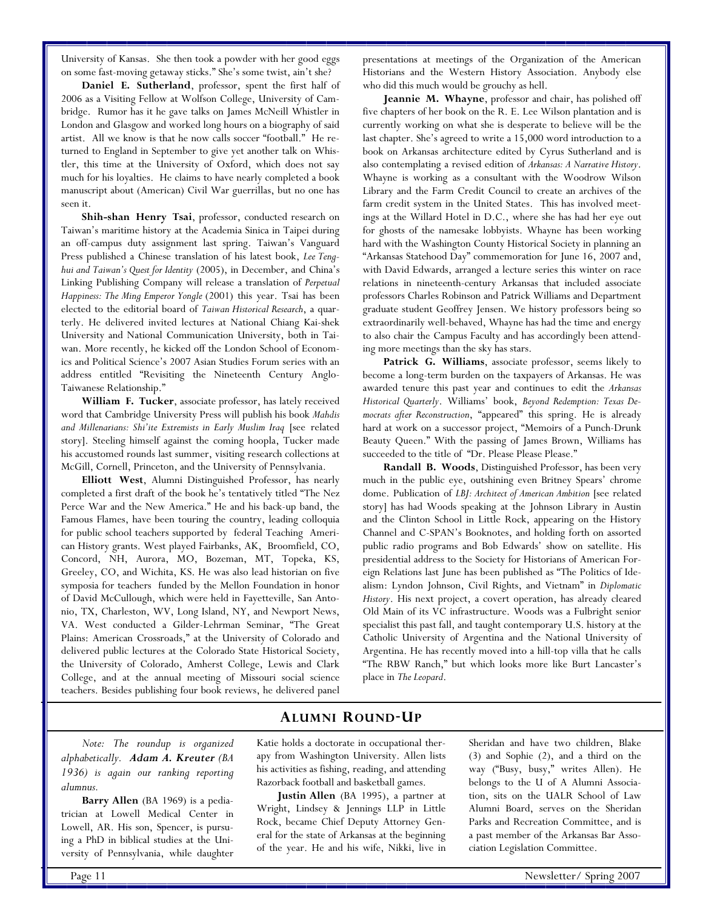University of Kansas. She then took a powder with her good eggs on some fast-moving getaway sticks." She's some twist, ain't she?

**Daniel E. Sutherland**, professor, spent the first half of 2006 as a Visiting Fellow at Wolfson College, University of Cambridge. Rumor has it he gave talks on James McNeill Whistler in London and Glasgow and worked long hours on a biography of said artist. All we know is that he now calls soccer "football." He returned to England in September to give yet another talk on Whistler, this time at the University of Oxford, which does not say much for his loyalties. He claims to have nearly completed a book manuscript about (American) Civil War guerrillas, but no one has seen it.

**Shih-shan Henry Tsai**, professor, conducted research on Taiwan's maritime history at the Academia Sinica in Taipei during an off-campus duty assignment last spring. Taiwan's Vanguard Press published a Chinese translation of his latest book, *Lee Tenghui and Taiwan's Quest for Identity* (2005), in December, and China's Linking Publishing Company will release a translation of *Perpetual Happiness: The Ming Emperor Yongle* (2001) this year. Tsai has been elected to the editorial board of *Taiwan Historical Research*, a quarterly. He delivered invited lectures at National Chiang Kai-shek University and National Communication University, both in Taiwan. More recently, he kicked off the London School of Economics and Political Science's 2007 Asian Studies Forum series with an address entitled "Revisiting the Nineteenth Century Anglo-Taiwanese Relationship."

**William F. Tucker**, associate professor, has lately received word that Cambridge University Press will publish his book *Mahdis and Millenarians: Shi'ite Extremists in Early Muslim Iraq* [see related story]. Steeling himself against the coming hoopla, Tucker made his accustomed rounds last summer, visiting research collections at McGill, Cornell, Princeton, and the University of Pennsylvania.

**Elliott West**, Alumni Distinguished Professor, has nearly completed a first draft of the book he's tentatively titled "The Nez Perce War and the New America." He and his back-up band, the Famous Flames, have been touring the country, leading colloquia for public school teachers supported by federal Teaching American History grants. West played Fairbanks, AK, Broomfield, CO, Concord, NH, Aurora, MO, Bozeman, MT, Topeka, KS, Greeley, CO, and Wichita, KS. He was also lead historian on five symposia for teachers funded by the Mellon Foundation in honor of David McCullough, which were held in Fayetteville, San Antonio, TX, Charleston, WV, Long Island, NY, and Newport News, VA. West conducted a Gilder-Lehrman Seminar, "The Great Plains: American Crossroads," at the University of Colorado and delivered public lectures at the Colorado State Historical Society, the University of Colorado, Amherst College, Lewis and Clark College, and at the annual meeting of Missouri social science teachers. Besides publishing four book reviews, he delivered panel presentations at meetings of the Organization of the American Historians and the Western History Association. Anybody else who did this much would be grouchy as hell.

**Jeannie M. Whayne**, professor and chair, has polished off five chapters of her book on the R. E. Lee Wilson plantation and is currently working on what she is desperate to believe will be the last chapter. She's agreed to write a 15,000 word introduction to a book on Arkansas architecture edited by Cyrus Sutherland and is also contemplating a revised edition of *Arkansas: A Narrative History*. Whayne is working as a consultant with the Woodrow Wilson Library and the Farm Credit Council to create an archives of the farm credit system in the United States. This has involved meetings at the Willard Hotel in D.C., where she has had her eye out for ghosts of the namesake lobbyists. Whayne has been working hard with the Washington County Historical Society in planning an "Arkansas Statehood Day" commemoration for June 16, 2007 and, with David Edwards, arranged a lecture series this winter on race relations in nineteenth-century Arkansas that included associate professors Charles Robinson and Patrick Williams and Department graduate student Geoffrey Jensen. We history professors being so extraordinarily well-behaved, Whayne has had the time and energy to also chair the Campus Faculty and has accordingly been attending more meetings than the sky has stars.

**Patrick G. Williams**, associate professor, seems likely to become a long-term burden on the taxpayers of Arkansas. He was awarded tenure this past year and continues to edit the *Arkansas Historical Quarterly*. Williams' book, *Beyond Redemption: Texas Democrats after Reconstruction*, "appeared" this spring. He is already hard at work on a successor project, "Memoirs of a Punch-Drunk Beauty Queen." With the passing of James Brown, Williams has succeeded to the title of "Dr. Please Please Please."

**Randall B. Woods**, Distinguished Professor, has been very much in the public eye, outshining even Britney Spears' chrome dome. Publication of *LBJ: Architect of American Ambition* [see related story] has had Woods speaking at the Johnson Library in Austin and the Clinton School in Little Rock, appearing on the History Channel and C-SPAN's Booknotes, and holding forth on assorted public radio programs and Bob Edwards' show on satellite. His presidential address to the Society for Historians of American Foreign Relations last June has been published as "The Politics of Idealism: Lyndon Johnson, Civil Rights, and Vietnam" in *Diplomatic History*. His next project, a covert operation, has already cleared Old Main of its VC infrastructure. Woods was a Fulbright senior specialist this past fall, and taught contemporary U.S. history at the Catholic University of Argentina and the National University of Argentina. He has recently moved into a hill-top villa that he calls "The RBW Ranch," but which looks more like Burt Lancaster's place in *The Leopard*.

# **ALUMNI ROUND-UP**

*Note: The roundup is organized alphabetically. Adam A. Kreuter (BA 1936) is again our ranking reporting alumnus.* 

**Barry Allen** (BA 1969) is a pediatrician at Lowell Medical Center in Lowell, AR. His son, Spencer, is pursuing a PhD in biblical studies at the University of Pennsylvania, while daughter

Katie holds a doctorate in occupational therapy from Washington University. Allen lists his activities as fishing, reading, and attending Razorback football and basketball games.

**Justin Allen** (BA 1995), a partner at Wright, Lindsey & Jennings LLP in Little Rock, became Chief Deputy Attorney General for the state of Arkansas at the beginning of the year. He and his wife, Nikki, live in Sheridan and have two children, Blake (3) and Sophie (2), and a third on the way ("Busy, busy," writes Allen). He belongs to the U of A Alumni Association, sits on the UALR School of Law Alumni Board, serves on the Sheridan Parks and Recreation Committee, and is a past member of the Arkansas Bar Association Legislation Committee.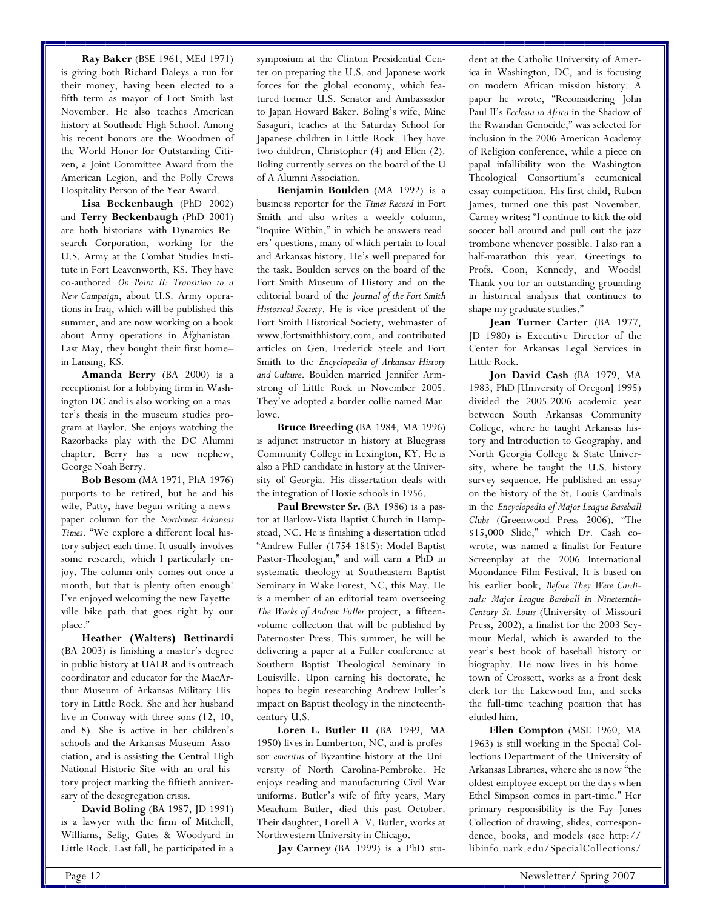**Ray Baker** (BSE 1961, MEd 1971) is giving both Richard Daleys a run for their money, having been elected to a fifth term as mayor of Fort Smith last November. He also teaches American history at Southside High School. Among his recent honors are the Woodmen of the World Honor for Outstanding Citizen, a Joint Committee Award from the American Legion, and the Polly Crews Hospitality Person of the Year Award.

**Lisa Beckenbaugh** (PhD 2002) and **Terry Beckenbaugh** (PhD 2001) are both historians with Dynamics Research Corporation, working for the U.S. Army at the Combat Studies Institute in Fort Leavenworth, KS. They have co-authored *On Point II: Transition to a New Campaign*, about U.S. Army operations in Iraq, which will be published this summer, and are now working on a book about Army operations in Afghanistan. Last May, they bought their first home– in Lansing, KS.

**Amanda Berry** (BA 2000) is a receptionist for a lobbying firm in Washington DC and is also working on a master's thesis in the museum studies program at Baylor. She enjoys watching the Razorbacks play with the DC Alumni chapter. Berry has a new nephew, George Noah Berry.

**Bob Besom** (MA 1971, PhA 1976) purports to be retired, but he and his wife, Patty, have begun writing a newspaper column for the *Northwest Arkansas Times*. "We explore a different local history subject each time. It usually involves some research, which I particularly enjoy. The column only comes out once a month, but that is plenty often enough! I've enjoyed welcoming the new Fayetteville bike path that goes right by our place."

**Heather (Walters) Bettinardi**  (BA 2003) is finishing a master's degree in public history at UALR and is outreach coordinator and educator for the MacArthur Museum of Arkansas Military History in Little Rock. She and her husband live in Conway with three sons (12, 10, and 8). She is active in her children's schools and the Arkansas Museum Association, and is assisting the Central High National Historic Site with an oral history project marking the fiftieth anniversary of the desegregation crisis.

**David Boling** (BA 1987, JD 1991) is a lawyer with the firm of Mitchell, Williams, Selig, Gates & Woodyard in Little Rock. Last fall, he participated in a symposium at the Clinton Presidential Center on preparing the U.S. and Japanese work forces for the global economy, which featured former U.S. Senator and Ambassador to Japan Howard Baker. Boling's wife, Mine Sasaguri, teaches at the Saturday School for Japanese children in Little Rock. They have two children, Christopher (4) and Ellen (2). Boling currently serves on the board of the U of A Alumni Association.

**Benjamin Boulden** (MA 1992) is a business reporter for the *Times Record* in Fort Smith and also writes a weekly column, "Inquire Within," in which he answers readers' questions, many of which pertain to local and Arkansas history. He's well prepared for the task. Boulden serves on the board of the Fort Smith Museum of History and on the editorial board of the *Journal of the Fort Smith Historical Society*. He is vice president of the Fort Smith Historical Society, webmaster of www.fortsmithhistory.com, and contributed articles on Gen. Frederick Steele and Fort Smith to the *Encyclopedia of Arkansas History and Culture*. Boulden married Jennifer Armstrong of Little Rock in November 2005. They've adopted a border collie named Marlowe.

**Bruce Breeding** (BA 1984, MA 1996) is adjunct instructor in history at Bluegrass Community College in Lexington, KY. He is also a PhD candidate in history at the University of Georgia. His dissertation deals with the integration of Hoxie schools in 1956.

Paul Brewster Sr. (BA 1986) is a pastor at Barlow-Vista Baptist Church in Hampstead, NC. He is finishing a dissertation titled "Andrew Fuller (1754-1815): Model Baptist Pastor-Theologian," and will earn a PhD in systematic theology at Southeastern Baptist Seminary in Wake Forest, NC, this May. He is a member of an editorial team overseeing *The Works of Andrew Fuller* project, a fifteenvolume collection that will be published by Paternoster Press. This summer, he will be delivering a paper at a Fuller conference at Southern Baptist Theological Seminary in Louisville. Upon earning his doctorate, he hopes to begin researching Andrew Fuller's impact on Baptist theology in the nineteenthcentury U.S.

**Loren L. Butler II** (BA 1949, MA 1950) lives in Lumberton, NC, and is professor *emeritus* of Byzantine history at the University of North Carolina-Pembroke. He enjoys reading and manufacturing Civil War uniforms. Butler's wife of fifty years, Mary Meachum Butler, died this past October. Their daughter, Lorell A. V. Butler, works at Northwestern University in Chicago.

**Jay Carney** (BA 1999) is a PhD stu-

dent at the Catholic University of America in Washington, DC, and is focusing on modern African mission history. A paper he wrote, "Reconsidering John Paul II's *Ecclesia in Africa* in the Shadow of the Rwandan Genocide," was selected for inclusion in the 2006 American Academy of Religion conference, while a piece on papal infallibility won the Washington Theological Consortium's ecumenical essay competition. His first child, Ruben James, turned one this past November. Carney writes: "I continue to kick the old soccer ball around and pull out the jazz trombone whenever possible. I also ran a half-marathon this year. Greetings to Profs. Coon, Kennedy, and Woods! Thank you for an outstanding grounding in historical analysis that continues to shape my graduate studies."

**Jean Turner Carter** (BA 1977, JD 1980) is Executive Director of the Center for Arkansas Legal Services in Little Rock.

**Jon David Cash** (BA 1979, MA 1983, PhD [University of Oregon] 1995) divided the 2005-2006 academic year between South Arkansas Community College, where he taught Arkansas history and Introduction to Geography, and North Georgia College & State University, where he taught the U.S. history survey sequence. He published an essay on the history of the St. Louis Cardinals in the *Encyclopedia of Major League Baseball Clubs* (Greenwood Press 2006). "The \$15,000 Slide," which Dr. Cash cowrote, was named a finalist for Feature Screenplay at the 2006 International Moondance Film Festival. It is based on his earlier book, *Before They Were Cardinals: Major League Baseball in Nineteenth-Century St. Louis* (University of Missouri Press, 2002), a finalist for the 2003 Seymour Medal, which is awarded to the year's best book of baseball history or biography. He now lives in his hometown of Crossett, works as a front desk clerk for the Lakewood Inn, and seeks the full-time teaching position that has eluded him.

**Ellen Compton** (MSE 1960, MA 1963) is still working in the Special Collections Department of the University of Arkansas Libraries, where she is now "the oldest employee except on the days when Ethel Simpson comes in part-time." Her primary responsibility is the Fay Jones Collection of drawing, slides, correspondence, books, and models (see http:// libinfo.uark.edu/SpecialCollections/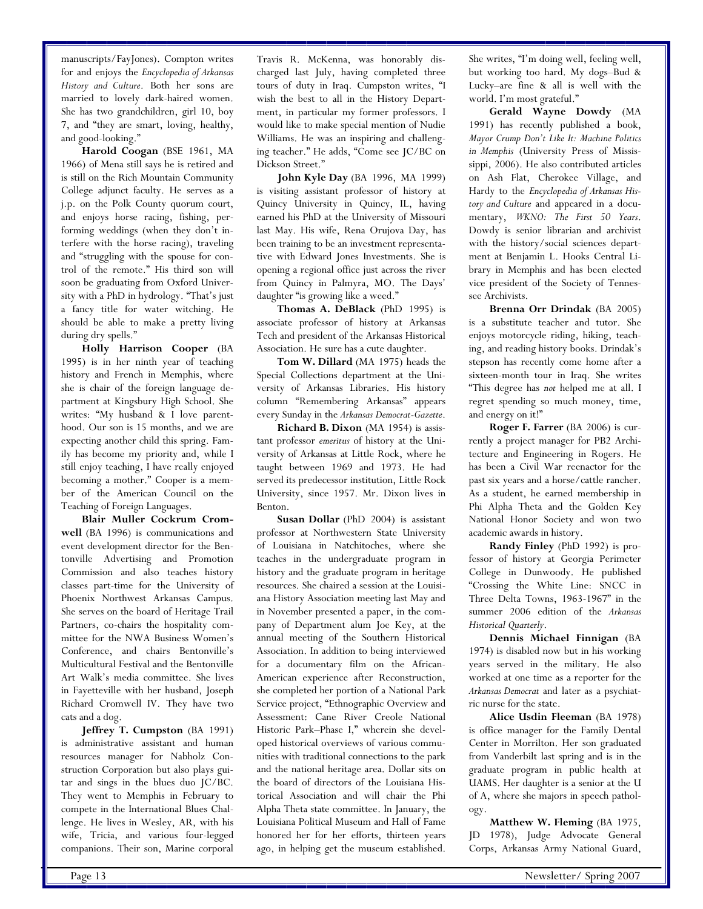manuscripts/FayJones). Compton writes for and enjoys the *Encyclopedia of Arkansas History and Culture*. Both her sons are married to lovely dark-haired women. She has two grandchildren, girl 10, boy 7, and "they are smart, loving, healthy, and good-looking."

**Harold Coogan** (BSE 1961, MA 1966) of Mena still says he is retired and is still on the Rich Mountain Community College adjunct faculty. He serves as a j.p. on the Polk County quorum court, and enjoys horse racing, fishing, performing weddings (when they don't interfere with the horse racing), traveling and "struggling with the spouse for control of the remote." His third son will soon be graduating from Oxford University with a PhD in hydrology. "That's just a fancy title for water witching. He should be able to make a pretty living during dry spells."

**Holly Harrison Cooper** (BA 1995) is in her ninth year of teaching history and French in Memphis, where she is chair of the foreign language department at Kingsbury High School. She writes: "My husband & I love parenthood. Our son is 15 months, and we are expecting another child this spring. Family has become my priority and, while I still enjoy teaching, I have really enjoyed becoming a mother." Cooper is a member of the American Council on the Teaching of Foreign Languages.

**Blair Muller Cockrum Cromwell** (BA 1996) is communications and event development director for the Bentonville Advertising and Promotion Commission and also teaches history classes part-time for the University of Phoenix Northwest Arkansas Campus. She serves on the board of Heritage Trail Partners, co-chairs the hospitality committee for the NWA Business Women's Conference, and chairs Bentonville's Multicultural Festival and the Bentonville Art Walk's media committee. She lives in Fayetteville with her husband, Joseph Richard Cromwell IV. They have two cats and a dog.

**Jeffrey T. Cumpston** (BA 1991) is administrative assistant and human resources manager for Nabholz Construction Corporation but also plays guitar and sings in the blues duo JC/BC. They went to Memphis in February to compete in the International Blues Challenge. He lives in Wesley, AR, with his wife, Tricia, and various four-legged companions. Their son, Marine corporal

Travis R. McKenna, was honorably discharged last July, having completed three tours of duty in Iraq. Cumpston writes, "I wish the best to all in the History Department, in particular my former professors. I would like to make special mention of Nudie Williams. He was an inspiring and challenging teacher." He adds, "Come see JC/BC on Dickson Street."

**John Kyle Day** (BA 1996, MA 1999) is visiting assistant professor of history at Quincy University in Quincy, IL, having earned his PhD at the University of Missouri last May. His wife, Rena Orujova Day, has been training to be an investment representative with Edward Jones Investments. She is opening a regional office just across the river from Quincy in Palmyra, MO. The Days' daughter "is growing like a weed."

**Thomas A. DeBlack** (PhD 1995) is associate professor of history at Arkansas Tech and president of the Arkansas Historical Association. He sure has a cute daughter.

**Tom W. Dillard** (MA 1975) heads the Special Collections department at the University of Arkansas Libraries. His history column "Remembering Arkansas" appears every Sunday in the *Arkansas Democrat-Gazette*.

**Richard B. Dixon** (MA 1954) is assistant professor *emeritus* of history at the University of Arkansas at Little Rock, where he taught between 1969 and 1973. He had served its predecessor institution, Little Rock University, since 1957. Mr. Dixon lives in Benton.

**Susan Dollar** (PhD 2004) is assistant professor at Northwestern State University of Louisiana in Natchitoches, where she teaches in the undergraduate program in history and the graduate program in heritage resources. She chaired a session at the Louisiana History Association meeting last May and in November presented a paper, in the company of Department alum Joe Key, at the annual meeting of the Southern Historical Association. In addition to being interviewed for a documentary film on the African-American experience after Reconstruction, she completed her portion of a National Park Service project, "Ethnographic Overview and Assessment: Cane River Creole National Historic Park–Phase I," wherein she developed historical overviews of various communities with traditional connections to the park and the national heritage area. Dollar sits on the board of directors of the Louisiana Historical Association and will chair the Phi Alpha Theta state committee. In January, the Louisiana Political Museum and Hall of Fame honored her for her efforts, thirteen years ago, in helping get the museum established.

She writes, "I'm doing well, feeling well, but working too hard. My dogs–Bud & Lucky–are fine & all is well with the world. I'm most grateful."

**Gerald Wayne Dowdy** (MA 1991) has recently published a book, *Mayor Crump Don't Like It: Machine Politics in Memphis* (University Press of Mississippi, 2006). He also contributed articles on Ash Flat, Cherokee Village, and Hardy to the *Encyclopedia of Arkansas History and Culture* and appeared in a documentary, *WKNO: The First 50 Years*. Dowdy is senior librarian and archivist with the history/social sciences department at Benjamin L. Hooks Central Library in Memphis and has been elected vice president of the Society of Tennessee Archivists.

**Brenna Orr Drindak** (BA 2005) is a substitute teacher and tutor. She enjoys motorcycle riding, hiking, teaching, and reading history books. Drindak's stepson has recently come home after a sixteen-month tour in Iraq. She writes "This degree has *not* helped me at all. I regret spending so much money, time, and energy on it!"

**Roger F. Farrer** (BA 2006) is currently a project manager for PB2 Architecture and Engineering in Rogers. He has been a Civil War reenactor for the past six years and a horse/cattle rancher. As a student, he earned membership in Phi Alpha Theta and the Golden Key National Honor Society and won two academic awards in history.

**Randy Finley** (PhD 1992) is professor of history at Georgia Perimeter College in Dunwoody. He published "Crossing the White Line: SNCC in Three Delta Towns, 1963-1967" in the summer 2006 edition of the *Arkansas Historical Quarterly*.

**Dennis Michael Finnigan** (BA 1974) is disabled now but in his working years served in the military. He also worked at one time as a reporter for the *Arkansas Democrat* and later as a psychiatric nurse for the state.

**Alice Usdin Fleeman** (BA 1978) is office manager for the Family Dental Center in Morrilton. Her son graduated from Vanderbilt last spring and is in the graduate program in public health at UAMS. Her daughter is a senior at the U of A, where she majors in speech pathology.

**Matthew W. Fleming** (BA 1975, JD 1978), Judge Advocate General Corps, Arkansas Army National Guard,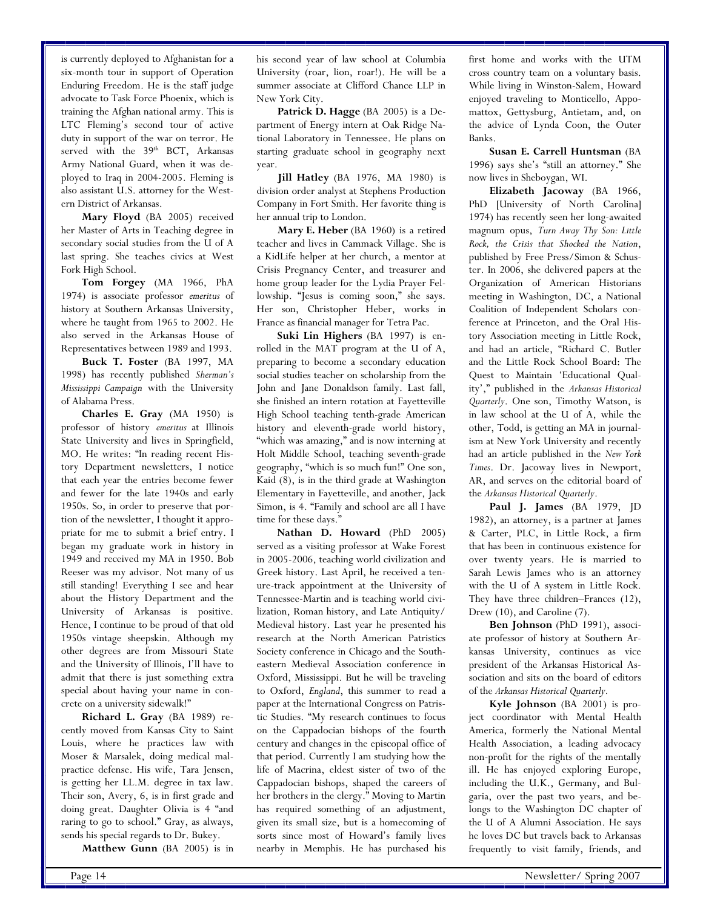is currently deployed to Afghanistan for a six-month tour in support of Operation Enduring Freedom. He is the staff judge advocate to Task Force Phoenix, which is training the Afghan national army. This is LTC Fleming's second tour of active duty in support of the war on terror. He served with the 39<sup>th</sup> BCT, Arkansas Army National Guard, when it was deployed to Iraq in 2004-2005. Fleming is also assistant U.S. attorney for the Western District of Arkansas.

**Mary Floyd** (BA 2005) received her Master of Arts in Teaching degree in secondary social studies from the U of A last spring. She teaches civics at West Fork High School.

**Tom Forgey** (MA 1966, PhA 1974) is associate professor *emeritus* of history at Southern Arkansas University, where he taught from 1965 to 2002. He also served in the Arkansas House of Representatives between 1989 and 1993.

**Buck T. Foster** (BA 1997, MA 1998) has recently published *Sherman's Mississippi Campaign* with the University of Alabama Press.

**Charles E. Gray** (MA 1950) is professor of history *emeritus* at Illinois State University and lives in Springfield, MO. He writes: "In reading recent History Department newsletters, I notice that each year the entries become fewer and fewer for the late 1940s and early 1950s. So, in order to preserve that portion of the newsletter, I thought it appropriate for me to submit a brief entry. I began my graduate work in history in 1949 and received my MA in 1950. Bob Reeser was my advisor. Not many of us still standing! Everything I see and hear about the History Department and the University of Arkansas is positive. Hence, I continue to be proud of that old 1950s vintage sheepskin. Although my other degrees are from Missouri State and the University of Illinois, I'll have to admit that there is just something extra special about having your name in concrete on a university sidewalk!"

**Richard L. Gray** (BA 1989) recently moved from Kansas City to Saint Louis, where he practices law with Moser & Marsalek, doing medical malpractice defense. His wife, Tara Jensen, is getting her LL.M. degree in tax law. Their son, Avery, 6, is in first grade and doing great. Daughter Olivia is 4 "and raring to go to school." Gray, as always, sends his special regards to Dr. Bukey.

**Matthew Gunn** (BA 2005) is in

his second year of law school at Columbia University (roar, lion, roar!). He will be a summer associate at Clifford Chance LLP in New York City.

Patrick D. Hagge (BA 2005) is a Department of Energy intern at Oak Ridge National Laboratory in Tennessee. He plans on starting graduate school in geography next year.

**Jill Hatley** (BA 1976, MA 1980) is division order analyst at Stephens Production Company in Fort Smith. Her favorite thing is her annual trip to London.

**Mary E. Heber** (BA 1960) is a retired teacher and lives in Cammack Village. She is a KidLife helper at her church, a mentor at Crisis Pregnancy Center, and treasurer and home group leader for the Lydia Prayer Fellowship. "Jesus is coming soon," she says. Her son, Christopher Heber, works in France as financial manager for Tetra Pac.

**Suki Lin Highers** (BA 1997) is enrolled in the MAT program at the U of A, preparing to become a secondary education social studies teacher on scholarship from the John and Jane Donaldson family. Last fall, she finished an intern rotation at Fayetteville High School teaching tenth-grade American history and eleventh-grade world history, "which was amazing," and is now interning at Holt Middle School, teaching seventh-grade geography, "which is so much fun!" One son, Kaid (8), is in the third grade at Washington Elementary in Fayetteville, and another, Jack Simon, is 4. "Family and school are all I have time for these days."

**Nathan D. Howard** (PhD 2005) served as a visiting professor at Wake Forest in 2005-2006, teaching world civilization and Greek history. Last April, he received a tenure-track appointment at the University of Tennessee-Martin and is teaching world civilization, Roman history, and Late Antiquity/ Medieval history. Last year he presented his research at the North American Patristics Society conference in Chicago and the Southeastern Medieval Association conference in Oxford, Mississippi. But he will be traveling to Oxford, *England*, this summer to read a paper at the International Congress on Patristic Studies. "My research continues to focus on the Cappadocian bishops of the fourth century and changes in the episcopal office of that period. Currently I am studying how the life of Macrina, eldest sister of two of the Cappadocian bishops, shaped the careers of her brothers in the clergy." Moving to Martin has required something of an adjustment, given its small size, but is a homecoming of sorts since most of Howard's family lives nearby in Memphis. He has purchased his

first home and works with the UTM cross country team on a voluntary basis. While living in Winston-Salem, Howard enjoyed traveling to Monticello, Appomattox, Gettysburg, Antietam, and, on the advice of Lynda Coon, the Outer Banks.

**Susan E. Carrell Huntsman** (BA 1996) says she's "still an attorney." She now lives in Sheboygan, WI.

**Elizabeth Jacoway** (BA 1966, PhD [University of North Carolina] 1974) has recently seen her long-awaited magnum opus, *Turn Away Thy Son: Little Rock, the Crisis that Shocked the Nation*, published by Free Press/Simon & Schuster. In 2006, she delivered papers at the Organization of American Historians meeting in Washington, DC, a National Coalition of Independent Scholars conference at Princeton, and the Oral History Association meeting in Little Rock, and had an article, "Richard C. Butler and the Little Rock School Board: The Quest to Maintain 'Educational Quality'," published in the *Arkansas Historical Quarterly*. One son, Timothy Watson, is in law school at the U of A, while the other, Todd, is getting an MA in journalism at New York University and recently had an article published in the *New York Times*. Dr. Jacoway lives in Newport, AR, and serves on the editorial board of the *Arkansas Historical Quarterly*.

**Paul J. James** (BA 1979, JD 1982), an attorney, is a partner at James & Carter, PLC, in Little Rock, a firm that has been in continuous existence for over twenty years. He is married to Sarah Lewis James who is an attorney with the U of A system in Little Rock. They have three children–Frances (12), Drew (10), and Caroline (7).

**Ben Johnson** (PhD 1991), associate professor of history at Southern Arkansas University, continues as vice president of the Arkansas Historical Association and sits on the board of editors of the *Arkansas Historical Quarterly.*

**Kyle Johnson** (BA 2001) is project coordinator with Mental Health America, formerly the National Mental Health Association, a leading advocacy non-profit for the rights of the mentally ill. He has enjoyed exploring Europe, including the U.K., Germany, and Bulgaria, over the past two years, and belongs to the Washington DC chapter of the U of A Alumni Association. He says he loves DC but travels back to Arkansas frequently to visit family, friends, and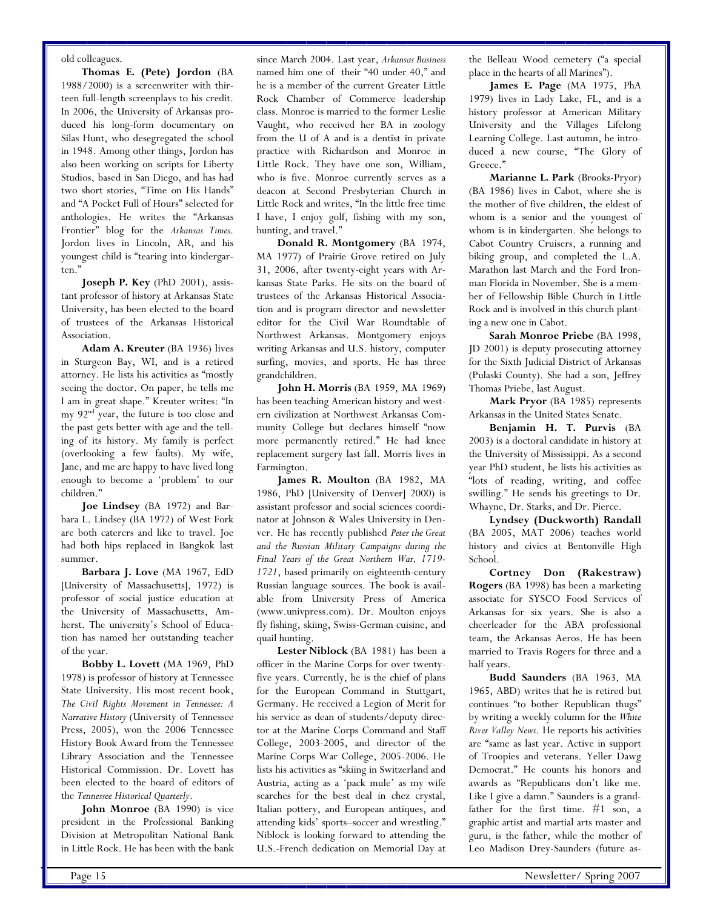old colleagues.

**Thomas E. (Pete) Jordon** (BA 1988/2000) is a screenwriter with thirteen full-length screenplays to his credit. In 2006, the University of Arkansas produced his long-form documentary on Silas Hunt, who desegregated the school in 1948. Among other things, Jordon has also been working on scripts for Liberty Studios, based in San Diego, and has had two short stories, "Time on His Hands" and "A Pocket Full of Hours" selected for anthologies. He writes the "Arkansas Frontier" blog for the *Arkansas Times*. Jordon lives in Lincoln, AR, and his youngest child is "tearing into kindergarten."

**Joseph P. Key** (PhD 2001), assistant professor of history at Arkansas State University, has been elected to the board of trustees of the Arkansas Historical Association.

**Adam A. Kreuter** (BA 1936) lives in Sturgeon Bay, WI, and is a retired attorney. He lists his activities as "mostly seeing the doctor. On paper, he tells me I am in great shape." Kreuter writes: "In my 92<sup>nd</sup> year, the future is too close and the past gets better with age and the telling of its history. My family is perfect (overlooking a few faults). My wife, Jane, and me are happy to have lived long enough to become a 'problem' to our children."

**Joe Lindsey** (BA 1972) and Barbara L. Lindsey (BA 1972) of West Fork are both caterers and like to travel. Joe had both hips replaced in Bangkok last summer.

**Barbara J. Love** (MA 1967, EdD [University of Massachusetts], 1972) is professor of social justice education at the University of Massachusetts, Amherst. The university's School of Education has named her outstanding teacher of the year.

**Bobby L. Lovett** (MA 1969, PhD 1978) is professor of history at Tennessee State University. His most recent book, *The Civil Rights Movement in Tennessee: A Narrative History* (University of Tennessee Press, 2005), won the 2006 Tennessee History Book Award from the Tennessee Library Association and the Tennessee Historical Commission. Dr. Lovett has been elected to the board of editors of the *Tennessee Historical Quarterly*.

**John Monroe** (BA 1990) is vice president in the Professional Banking Division at Metropolitan National Bank in Little Rock. He has been with the bank

since March 2004. Last year, *Arkansas Business* named him one of their "40 under 40," and he is a member of the current Greater Little Rock Chamber of Commerce leadership class. Monroe is married to the former Leslie Vaught, who received her BA in zoology from the U of A and is a dentist in private practice with Richardson and Monroe in Little Rock. They have one son, William, who is five. Monroe currently serves as a deacon at Second Presbyterian Church in Little Rock and writes, "In the little free time I have, I enjoy golf, fishing with my son, hunting, and travel."

**Donald R. Montgomery** (BA 1974, MA 1977) of Prairie Grove retired on July 31, 2006, after twenty-eight years with Arkansas State Parks. He sits on the board of trustees of the Arkansas Historical Association and is program director and newsletter editor for the Civil War Roundtable of Northwest Arkansas. Montgomery enjoys writing Arkansas and U.S. history, computer surfing, movies, and sports. He has three grandchildren.

**John H. Morris** (BA 1959, MA 1969) has been teaching American history and western civilization at Northwest Arkansas Community College but declares himself "now more permanently retired." He had knee replacement surgery last fall. Morris lives in Farmington.

**James R. Moulton** (BA 1982, MA 1986, PhD [University of Denver] 2000) is assistant professor and social sciences coordinator at Johnson & Wales University in Denver. He has recently published *Peter the Great and the Russian Military Campaigns during the Final Years of the Great Northern War, 1719- 1721*, based primarily on eighteenth-century Russian language sources. The book is available from University Press of America (www.univpress.com). Dr. Moulton enjoys fly fishing, skiing, Swiss-German cuisine, and quail hunting.

**Lester Niblock** (BA 1981) has been a officer in the Marine Corps for over twentyfive years. Currently, he is the chief of plans for the European Command in Stuttgart, Germany. He received a Legion of Merit for his service as dean of students/deputy director at the Marine Corps Command and Staff College, 2003-2005, and director of the Marine Corps War College, 2005-2006. He lists his activities as "skiing in Switzerland and Austria, acting as a 'pack mule' as my wife searches for the best deal in chez crystal, Italian pottery, and European antiques, and attending kids' sports–soccer and wrestling." Niblock is looking forward to attending the U.S.-French dedication on Memorial Day at

the Belleau Wood cemetery ("a special place in the hearts of all Marines").

**James E. Page** (MA 1975, PhA 1979) lives in Lady Lake, FL, and is a history professor at American Military University and the Villages Lifelong Learning College. Last autumn, he introduced a new course, "The Glory of Greece."

**Marianne L. Park** (Brooks-Pryor) (BA 1986) lives in Cabot, where she is the mother of five children, the eldest of whom is a senior and the youngest of whom is in kindergarten. She belongs to Cabot Country Cruisers, a running and biking group, and completed the L.A. Marathon last March and the Ford Ironman Florida in November. She is a member of Fellowship Bible Church in Little Rock and is involved in this church planting a new one in Cabot.

**Sarah Monroe Priebe** (BA 1998, JD 2001) is deputy prosecuting attorney for the Sixth Judicial District of Arkansas (Pulaski County). She had a son, Jeffrey Thomas Priebe, last August.

**Mark Pryor** (BA 1985) represents Arkansas in the United States Senate.

**Benjamin H. T. Purvis** (BA 2003) is a doctoral candidate in history at the University of Mississippi. As a second year PhD student, he lists his activities as "lots of reading, writing, and coffee swilling." He sends his greetings to Dr. Whayne, Dr. Starks, and Dr. Pierce.

**Lyndsey (Duckworth) Randall** (BA 2005, MAT 2006) teaches world history and civics at Bentonville High School.

**Cortney Don (Rakestraw) Rogers** (BA 1998) has been a marketing associate for SYSCO Food Services of Arkansas for six years. She is also a cheerleader for the ABA professional team, the Arkansas Aeros. He has been married to Travis Rogers for three and a half years.

**Budd Saunders** (BA 1963, MA 1965, ABD) writes that he is retired but continues "to bother Republican thugs" by writing a weekly column for the *White River Valley News*. He reports his activities are "same as last year. Active in support of Troopies and veterans. Yeller Dawg Democrat." He counts his honors and awards as "Republicans don't like me. Like I give a damn." Saunders is a grandfather for the first time. #1 son, a graphic artist and martial arts master and guru, is the father, while the mother of Leo Madison Drey-Saunders (future as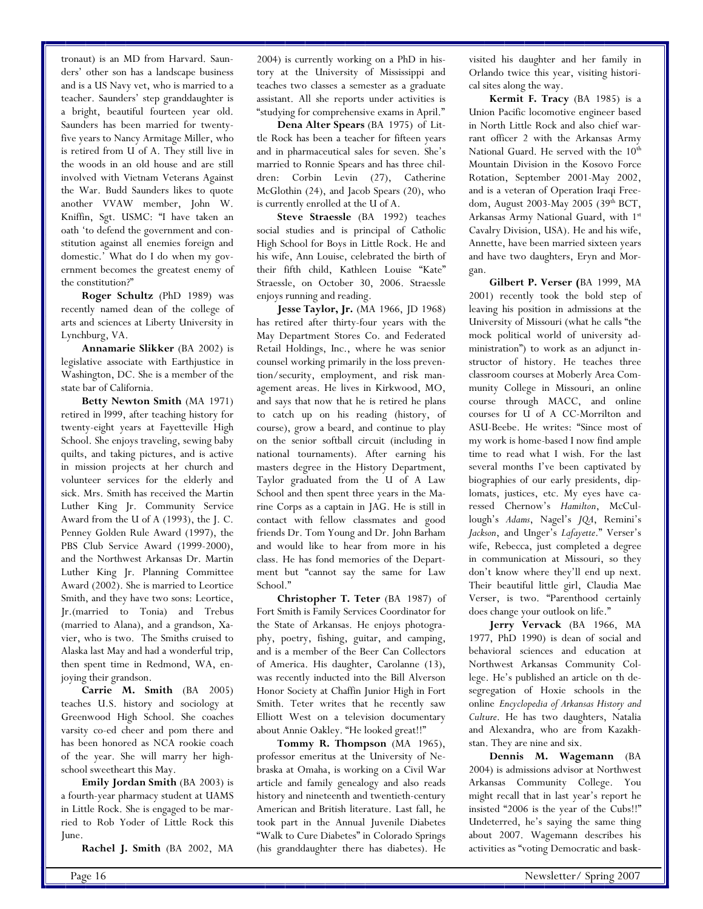tronaut) is an MD from Harvard. Saunders' other son has a landscape business and is a US Navy vet, who is married to a teacher. Saunders' step granddaughter is a bright, beautiful fourteen year old. Saunders has been married for twentyfive years to Nancy Armitage Miller, who is retired from U of A. They still live in the woods in an old house and are still involved with Vietnam Veterans Against the War. Budd Saunders likes to quote another VVAW member, John W. Kniffin, Sgt. USMC: "I have taken an oath 'to defend the government and constitution against all enemies foreign and domestic.' What do I do when my government becomes the greatest enemy of the constitution?"

**Roger Schultz** (PhD 1989) was recently named dean of the college of arts and sciences at Liberty University in Lynchburg, VA.

**Annamarie Slikker** (BA 2002) is legislative associate with Earthjustice in Washington, DC. She is a member of the state bar of California.

**Betty Newton Smith** (MA 1971) retired in l999, after teaching history for twenty-eight years at Fayetteville High School. She enjoys traveling, sewing baby quilts, and taking pictures, and is active in mission projects at her church and volunteer services for the elderly and sick. Mrs. Smith has received the Martin Luther King Jr. Community Service Award from the U of A (1993), the J. C. Penney Golden Rule Award (1997), the PBS Club Service Award (1999-2000), and the Northwest Arkansas Dr. Martin Luther King Jr. Planning Committee Award (2002). She is married to Leortice Smith, and they have two sons: Leortice, Jr.(married to Tonia) and Trebus (married to Alana), and a grandson, Xavier, who is two. The Smiths cruised to Alaska last May and had a wonderful trip, then spent time in Redmond, WA, enjoying their grandson.

**Carrie M. Smith** (BA 2005) teaches U.S. history and sociology at Greenwood High School. She coaches varsity co-ed cheer and pom there and has been honored as NCA rookie coach of the year. She will marry her highschool sweetheart this May.

**Emily Jordan Smith** (BA 2003) is a fourth-year pharmacy student at UAMS in Little Rock. She is engaged to be married to Rob Yoder of Little Rock this June.

**Rachel J. Smith** (BA 2002, MA

2004) is currently working on a PhD in history at the University of Mississippi and teaches two classes a semester as a graduate assistant. All she reports under activities is "studying for comprehensive exams in April."

**Dena Alter Spears** (BA 1975) of Little Rock has been a teacher for fifteen years and in pharmaceutical sales for seven. She's married to Ronnie Spears and has three children: Corbin Levin (27), Catherine McGlothin (24), and Jacob Spears (20), who is currently enrolled at the U of A.

**Steve Straessle** (BA 1992) teaches social studies and is principal of Catholic High School for Boys in Little Rock. He and his wife, Ann Louise, celebrated the birth of their fifth child, Kathleen Louise "Kate" Straessle, on October 30, 2006. Straessle enjoys running and reading.

**Jesse Taylor, Jr.** (MA 1966, JD 1968) has retired after thirty-four years with the May Department Stores Co. and Federated Retail Holdings, Inc., where he was senior counsel working primarily in the loss prevention/security, employment, and risk management areas. He lives in Kirkwood, MO, and says that now that he is retired he plans to catch up on his reading (history, of course), grow a beard, and continue to play on the senior softball circuit (including in national tournaments). After earning his masters degree in the History Department, Taylor graduated from the U of A Law School and then spent three years in the Marine Corps as a captain in JAG. He is still in contact with fellow classmates and good friends Dr. Tom Young and Dr. John Barham and would like to hear from more in his class. He has fond memories of the Department but "cannot say the same for Law School."

**Christopher T. Teter** (BA 1987) of Fort Smith is Family Services Coordinator for the State of Arkansas. He enjoys photography, poetry, fishing, guitar, and camping, and is a member of the Beer Can Collectors of America. His daughter, Carolanne (13), was recently inducted into the Bill Alverson Honor Society at Chaffin Junior High in Fort Smith. Teter writes that he recently saw Elliott West on a television documentary about Annie Oakley. "He looked great!!"

**Tommy R. Thompson** (MA 1965), professor emeritus at the University of Nebraska at Omaha, is working on a Civil War article and family genealogy and also reads history and nineteenth and twentieth-century American and British literature. Last fall, he took part in the Annual Juvenile Diabetes "Walk to Cure Diabetes" in Colorado Springs (his granddaughter there has diabetes). He

visited his daughter and her family in Orlando twice this year, visiting historical sites along the way.

**Kermit F. Tracy** (BA 1985) is a Union Pacific locomotive engineer based in North Little Rock and also chief warrant officer 2 with the Arkansas Army National Guard. He served with the  $10<sup>th</sup>$ Mountain Division in the Kosovo Force Rotation, September 2001-May 2002, and is a veteran of Operation Iraqi Freedom, August 2003-May 2005 (39th BCT, Arkansas Army National Guard, with 1<sup>st</sup> Cavalry Division, USA). He and his wife, Annette, have been married sixteen years and have two daughters, Eryn and Morgan.

**Gilbert P. Verser (**BA 1999, MA 2001) recently took the bold step of leaving his position in admissions at the University of Missouri (what he calls "the mock political world of university administration") to work as an adjunct instructor of history. He teaches three classroom courses at Moberly Area Community College in Missouri, an online course through MACC, and online courses for U of A CC-Morrilton and ASU-Beebe. He writes: "Since most of my work is home-based I now find ample time to read what I wish. For the last several months I've been captivated by biographies of our early presidents, diplomats, justices, etc. My eyes have caressed Chernow's *Hamilton*, McCullough's *Adams*, Nagel's *JQA*, Remini's *Jackson*, and Unger's *Lafayette*." Verser's wife, Rebecca, just completed a degree in communication at Missouri, so they don't know where they'll end up next. Their beautiful little girl, Claudia Mae Verser, is two. "Parenthood certainly does change your outlook on life."

**Jerry Vervack** (BA 1966, MA 1977, PhD 1990) is dean of social and behavioral sciences and education at Northwest Arkansas Community College. He's published an article on th desegregation of Hoxie schools in the online *Encyclopedia of Arkansas History and Culture*. He has two daughters, Natalia and Alexandra, who are from Kazakhstan. They are nine and six.

**Dennis M. Wagemann** (BA 2004) is admissions advisor at Northwest Arkansas Community College. You might recall that in last year's report he insisted "2006 is the year of the Cubs!!" Undeterred, he's saying the same thing about 2007. Wagemann describes his activities as "voting Democratic and bask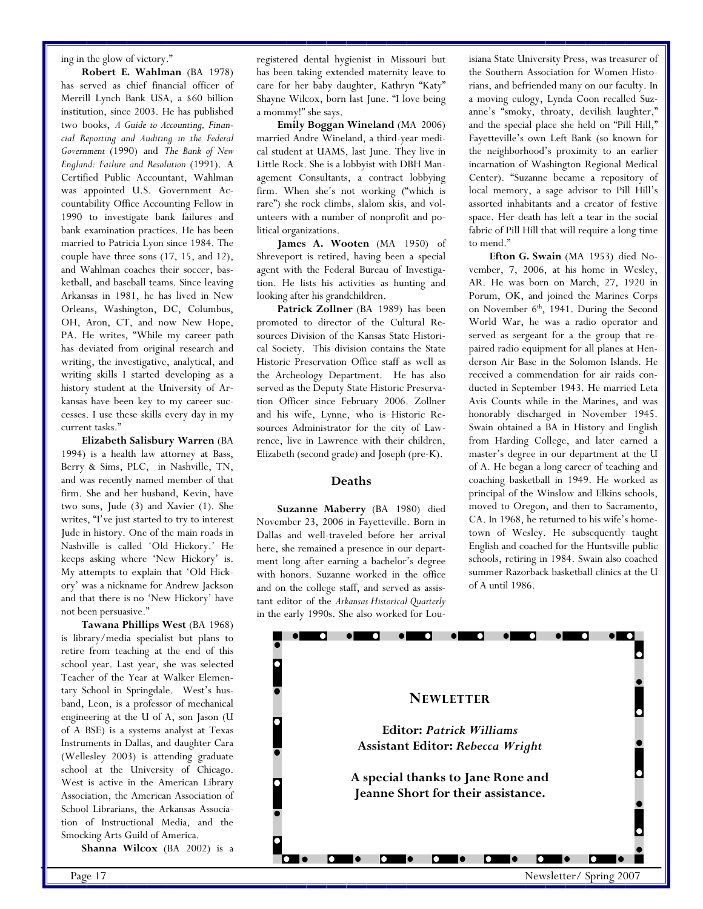ing in the glow of victory."

**Robert E. Wahlman** (BA 1978) has served as chief financial officer of Merrill Lynch Bank USA, a \$60 billion institution, since 2003. He has published two books, *A Guide to Accounting, Financial Reporting and Auditing in the Federal Government* (1990) and *The Bank of New England: Failure and Resolution* (1991). A Certified Public Accountant, Wahlman was appointed U.S. Government Accountability Office Accounting Fellow in 1990 to investigate bank failures and bank examination practices. He has been married to Patricia Lyon since 1984. The couple have three sons (17, 15, and 12), and Wahlman coaches their soccer, basketball, and baseball teams. Since leaving Arkansas in 1981, he has lived in New Orleans, Washington, DC, Columbus, OH, Aron, CT, and now New Hope, PA. He writes, "While my career path has deviated from original research and writing, the investigative, analytical, and writing skills I started developing as a history student at the University of Arkansas have been key to my career successes. I use these skills every day in my current tasks."

**Elizabeth Salisbury Warren** (BA 1994) is a health law attorney at Bass, Berry & Sims, PLC, in Nashville, TN, and was recently named member of that firm. She and her husband, Kevin, have two sons, Jude (3) and Xavier (1). She writes, "I've just started to try to interest Jude in history. One of the main roads in Nashville is called 'Old Hickory.' He keeps asking where 'New Hickory' is. My attempts to explain that 'Old Hickory' was a nickname for Andrew Jackson and that there is no 'New Hickory' have not been persuasive."

**Tawana Phillips West** (BA 1968) is library/media specialist but plans to retire from teaching at the end of this school year. Last year, she was selected Teacher of the Year at Walker Elementary School in Springdale. West's husband, Leon, is a professor of mechanical engineering at the U of A, son Jason (U of A BSE) is a systems analyst at Texas Instruments in Dallas, and daughter Cara (Wellesley 2003) is attending graduate school at the University of Chicago. West is active in the American Library Association, the American Association of School Librarians, the Arkansas Association of Instructional Media, and the Smocking Arts Guild of America.

**Shanna Wilcox** (BA 2002) is a

registered dental hygienist in Missouri but has been taking extended maternity leave to care for her baby daughter, Kathryn "Katy" Shayne Wilcox, born last June. "I love being a mommy!" she says.

**Emily Boggan Wineland** (MA 2006) married Andre Wineland, a third-year medical student at UAMS, last June. They live in Little Rock. She is a lobbyist with DBH Management Consultants, a contract lobbying firm. When she's not working ("which is rare") she rock climbs, slalom skis, and volunteers with a number of nonprofit and political organizations.

**James A. Wooten** (MA 1950) of Shreveport is retired, having been a special agent with the Federal Bureau of Investigation. He lists his activities as hunting and looking after his grandchildren.

Patrick Zollner (BA 1989) has been promoted to director of the Cultural Resources Division of the Kansas State Historical Society. This division contains the State Historic Preservation Office staff as well as the Archeology Department. He has also served as the Deputy State Historic Preservation Officer since February 2006. Zollner and his wife, Lynne, who is Historic Resources Administrator for the city of Lawrence, live in Lawrence with their children, Elizabeth (second grade) and Joseph (pre-K).

#### **Deaths**

**Suzanne Maberry** (BA 1980) died November 23, 2006 in Fayetteville. Born in Dallas and well-traveled before her arrival here, she remained a presence in our department long after earning a bachelor's degree with honors. Suzanne worked in the office and on the college staff, and served as assistant editor of the *Arkansas Historical Quarterly* in the early 1990s. She also worked for Louisiana State University Press, was treasurer of the Southern Association for Women Historians, and befriended many on our faculty. In a moving eulogy, Lynda Coon recalled Suzanne's "smoky, throaty, devilish laughter," and the special place she held on "Pill Hill," Fayetteville's own Left Bank (so known for the neighborhood's proximity to an earlier incarnation of Washington Regional Medical Center). "Suzanne became a repository of local memory, a sage advisor to Pill Hill's assorted inhabitants and a creator of festive space. Her death has left a tear in the social fabric of Pill Hill that will require a long time to mend."

**Efton G. Swain** (MA 1953) died November, 7, 2006, at his home in Wesley, AR. He was born on March, 27, 1920 in Porum, OK, and joined the Marines Corps on November 6<sup>th</sup>, 1941. During the Second World War, he was a radio operator and served as sergeant for a the group that repaired radio equipment for all planes at Henderson Air Base in the Solomon Islands. He received a commendation for air raids conducted in September 1943. He married Leta Avis Counts while in the Marines, and was honorably discharged in November 1945. Swain obtained a BA in History and English from Harding College, and later earned a master's degree in our department at the U of A. He began a long career of teaching and coaching basketball in 1949. He worked as principal of the Winslow and Elkins schools, moved to Oregon, and then to Sacramento, CA. In 1968, he returned to his wife's hometown of Wesley. He subsequently taught English and coached for the Huntsville public schools, retiring in 1984. Swain also coached summer Razorback basketball clinics at the U of A until 1986.

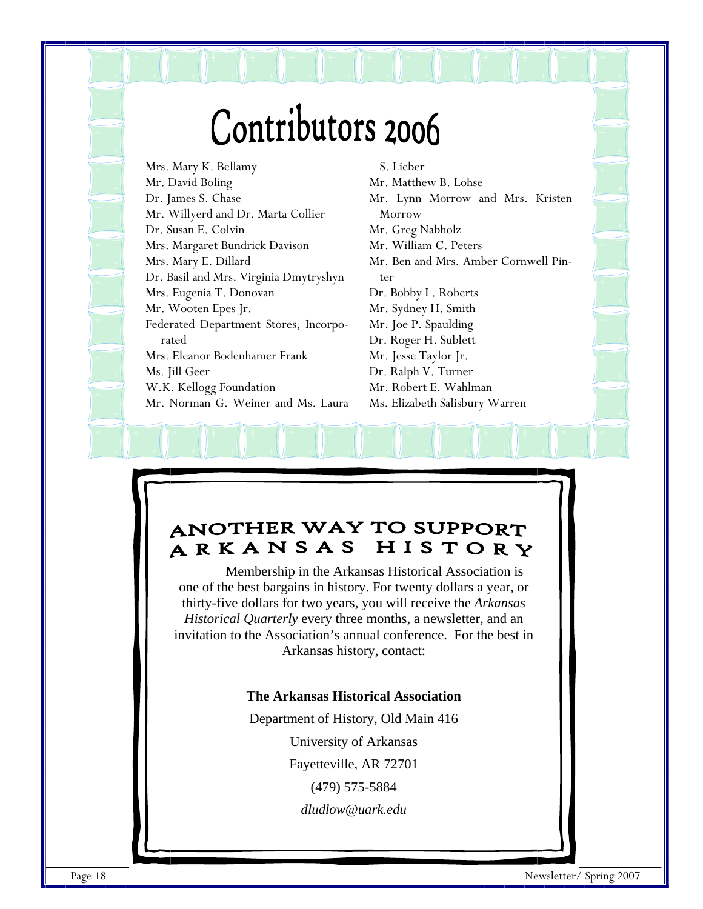# Contributors 2006

Mrs. Mary K. Bellamy Mr. David Boling Dr. James S. Chase Mr. Willyerd and Dr. Marta Collier Dr. Susan E. Colvin Mrs. Margaret Bundrick Davison Mrs. Mary E. Dillard Dr. Basil and Mrs. Virginia Dmytryshyn Mrs. Eugenia T. Donovan Mr. Wooten Epes Jr. Federated Department Stores, Incorporated Mrs. Eleanor Bodenhamer Frank Ms. Jill Geer W.K. Kellogg Foundation Mr. Norman G. Weiner and Ms. Laura

S. Lieber Mr. Matthew B. Lohse Mr. Lynn Morrow and Mrs. Kristen Morrow Mr. Greg Nabholz Mr. William C. Peters Mr. Ben and Mrs. Amber Cornwell Pinter Dr. Bobby L. Roberts Mr. Sydney H. Smith Mr. Joe P. Spaulding Dr. Roger H. Sublett Mr. Jesse Taylor Jr. Dr. Ralph V. Turner Mr. Robert E. Wahlman Ms. Elizabeth Salisbury Warren

# **ANOTHER WAY TO SUPPORT** ARKANSAS HISTORY

Membership in the Arkansas Historical Association is one of the best bargains in history. For twenty dollars a year, or thirty-five dollars for two years, you will receive the *Arkansas Historical Quarterly* every three months, a newsletter, and an invitation to the Association's annual conference. For the best in Arkansas history, contact:

# **The Arkansas Historical Association**

Department of History, Old Main 416

University of Arkansas

Fayetteville, AR 72701

(479) 575-5884

*dludlow@uark.edu*